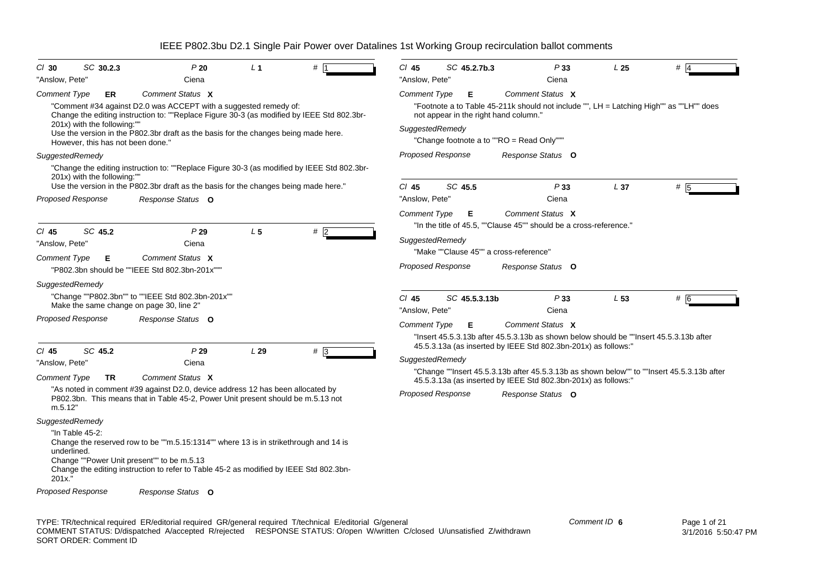| $Cl$ 30                               | SC 30.2.3                                                              | P20                                                                                                                                                                                                                                                                       | L <sub>1</sub> |     | $Cl$ 45                                | SC 45.2.7b.3                                | P33                                                                                                                                                          | L <sub>25</sub> | #   |
|---------------------------------------|------------------------------------------------------------------------|---------------------------------------------------------------------------------------------------------------------------------------------------------------------------------------------------------------------------------------------------------------------------|----------------|-----|----------------------------------------|---------------------------------------------|--------------------------------------------------------------------------------------------------------------------------------------------------------------|-----------------|-----|
| "Anslow, Pete"                        |                                                                        | Ciena                                                                                                                                                                                                                                                                     |                |     | "Anslow, Pete"                         |                                             | Ciena                                                                                                                                                        |                 |     |
| Comment Type                          | ER<br>201x) with the following:""<br>However, this has not been done." | Comment Status X<br>"Comment #34 against D2.0 was ACCEPT with a suggested remedy of:<br>Change the editing instruction to: ""Replace Figure 30-3 (as modified by IEEE Std 802.3br-<br>Use the version in the P802.3br draft as the basis for the changes being made here. |                |     | <b>Comment Type</b><br>SuggestedRemedy | E.<br>not appear in the right hand column." | Comment Status X<br>"Footnote a to Table 45-211k should not include "", LH = Latching High"" as ""LH"" does<br>"Change footnote a to ""RO = Read Only"""     |                 |     |
|                                       | SuggestedRemedy                                                        |                                                                                                                                                                                                                                                                           |                |     |                                        | <b>Proposed Response</b>                    | Response Status O                                                                                                                                            |                 |     |
|                                       | 201x) with the following:""                                            | "Change the editing instruction to: ""Replace Figure 30-3 (as modified by IEEE Std 802.3br-<br>Use the version in the P802.3br draft as the basis for the changes being made here."                                                                                       |                |     | $CI$ 45                                | SC 45.5                                     | P33                                                                                                                                                          | L <sub>37</sub> | # 5 |
|                                       | <b>Proposed Response</b>                                               | Response Status O                                                                                                                                                                                                                                                         |                |     | "Anslow, Pete"                         |                                             | Ciena                                                                                                                                                        |                 |     |
| $CI$ 45                               | SC 45.2                                                                | P29                                                                                                                                                                                                                                                                       | L <sub>5</sub> | #   | <b>Comment Type</b>                    | E.                                          | Comment Status X<br>"In the title of 45.5, ""Clause 45"" should be a cross-reference."                                                                       |                 |     |
| "Anslow, Pete"                        |                                                                        | Ciena                                                                                                                                                                                                                                                                     |                |     | SuggestedRemedy                        |                                             |                                                                                                                                                              |                 |     |
| <b>Comment Type</b>                   | Е                                                                      | Comment Status X                                                                                                                                                                                                                                                          |                |     |                                        | "Make ""Clause 45"" a cross-reference"      |                                                                                                                                                              |                 |     |
|                                       |                                                                        | "P802.3bn should be ""IEEE Std 802.3bn-201x"""                                                                                                                                                                                                                            |                |     |                                        | <b>Proposed Response</b>                    | Response Status O                                                                                                                                            |                 |     |
| SuggestedRemedy                       |                                                                        |                                                                                                                                                                                                                                                                           |                |     |                                        |                                             |                                                                                                                                                              |                 |     |
|                                       |                                                                        | "Change ""P802.3bn"" to ""IEEE Std 802.3bn-201x""<br>Make the same change on page 30, line 2"                                                                                                                                                                             |                |     | $CI$ 45<br>"Anslow, Pete"              | SC 45.5.3.13b                               | P33<br>Ciena                                                                                                                                                 | L <sub>53</sub> | # 6 |
|                                       | <b>Proposed Response</b>                                               | Response Status O                                                                                                                                                                                                                                                         |                |     | <b>Comment Type</b>                    | Е                                           | Comment Status X                                                                                                                                             |                 |     |
|                                       |                                                                        |                                                                                                                                                                                                                                                                           |                |     |                                        |                                             | "Insert 45.5.3.13b after 45.5.3.13b as shown below should be ""Insert 45.5.3.13b after<br>45.5.3.13a (as inserted by IEEE Std 802.3bn-201x) as follows:"     |                 |     |
| $CI$ 45                               | SC 45.2                                                                | P29                                                                                                                                                                                                                                                                       | L29            | # 3 | SuggestedRemedy                        |                                             |                                                                                                                                                              |                 |     |
| "Anslow, Pete"<br><b>Comment Type</b> | TR.                                                                    | Ciena<br>Comment Status X                                                                                                                                                                                                                                                 |                |     |                                        |                                             | "Change ""Insert 45.5.3.13b after 45.5.3.13b as shown below"" to ""Insert 45.5.3.13b after<br>45.5.3.13a (as inserted by IEEE Std 802.3bn-201x) as follows:" |                 |     |
| m.5.12"                               |                                                                        | "As noted in comment #39 against D2.0, device address 12 has been allocated by<br>P802.3bn. This means that in Table 45-2, Power Unit present should be m.5.13 not                                                                                                        |                |     |                                        | Proposed Response                           | Response Status O                                                                                                                                            |                 |     |
| SuggestedRemedy                       |                                                                        |                                                                                                                                                                                                                                                                           |                |     |                                        |                                             |                                                                                                                                                              |                 |     |
| underlined.<br>201x."                 | "In Table 45-2:                                                        | Change the reserved row to be ""m.5.15:1314"" where 13 is in strikethrough and 14 is<br>Change ""Power Unit present"" to be m.5.13<br>Change the editing instruction to refer to Table 45-2 as modified by IEEE Std 802.3bn-                                              |                |     |                                        |                                             |                                                                                                                                                              |                 |     |
|                                       | <b>Proposed Response</b>                                               | Response Status O                                                                                                                                                                                                                                                         |                |     |                                        |                                             |                                                                                                                                                              |                 |     |
|                                       |                                                                        |                                                                                                                                                                                                                                                                           |                |     |                                        |                                             |                                                                                                                                                              |                 |     |

TYPE: TR/technical required ER/editorial required GR/general required T/technical E/editorial G/general COMMENT STATUS: D/dispatched A/accepted R/rejected RESPONSE STATUS: O/open W/written C/closed U/unsatisfied Z/withdrawn SORT ORDER: Comment ID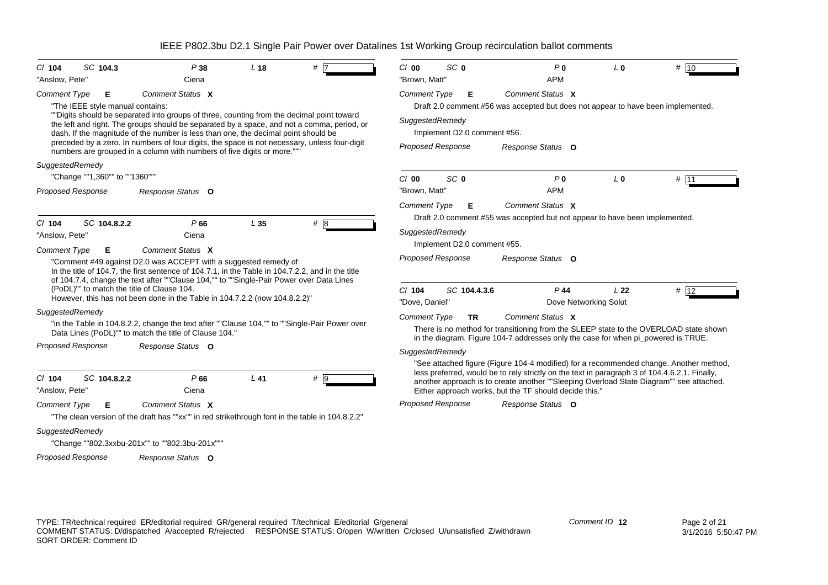| SC 104.3<br>$CI$ 104                                         | P38                                                                                                                                                                                                                                                                                                                                                                                                                                                     | L <sub>18</sub> | # 17 | $Cl$ 00             | SC <sub>0</sub>                                         | P <sub>0</sub>                                         | L <sub>0</sub>                                                                    | # 10                                                                                                                                                                                                                                                                               |
|--------------------------------------------------------------|---------------------------------------------------------------------------------------------------------------------------------------------------------------------------------------------------------------------------------------------------------------------------------------------------------------------------------------------------------------------------------------------------------------------------------------------------------|-----------------|------|---------------------|---------------------------------------------------------|--------------------------------------------------------|-----------------------------------------------------------------------------------|------------------------------------------------------------------------------------------------------------------------------------------------------------------------------------------------------------------------------------------------------------------------------------|
| "Anslow, Pete"                                               | Ciena                                                                                                                                                                                                                                                                                                                                                                                                                                                   |                 |      | "Brown, Matt"       |                                                         | <b>APM</b>                                             |                                                                                   |                                                                                                                                                                                                                                                                                    |
| <b>Comment Type</b><br>Е<br>"The IEEE style manual contains: | Comment Status X                                                                                                                                                                                                                                                                                                                                                                                                                                        |                 |      | Comment Type        | Е                                                       | Comment Status X                                       |                                                                                   | Draft 2.0 comment #56 was accepted but does not appear to have been implemented.                                                                                                                                                                                                   |
|                                                              | ""Digits should be separated into groups of three, counting from the decimal point toward<br>the left and right. The groups should be separated by a space, and not a comma, period, or<br>dash. If the magnitude of the number is less than one, the decimal point should be<br>preceded by a zero. In numbers of four digits, the space is not necessary, unless four-digit<br>numbers are grouped in a column with numbers of five digits or more."" |                 |      | SuggestedRemedy     | Implement D2.0 comment #56.<br><b>Proposed Response</b> | Response Status O                                      |                                                                                   |                                                                                                                                                                                                                                                                                    |
| SuggestedRemedy                                              |                                                                                                                                                                                                                                                                                                                                                                                                                                                         |                 |      |                     |                                                         |                                                        |                                                                                   |                                                                                                                                                                                                                                                                                    |
| "Change ""1,360"" to ""1360"""                               |                                                                                                                                                                                                                                                                                                                                                                                                                                                         |                 |      | $Cl$ 00             | SC <sub>0</sub>                                         | P <sub>0</sub>                                         | L <sub>0</sub>                                                                    | $#$ 11                                                                                                                                                                                                                                                                             |
| Proposed Response                                            | Response Status O                                                                                                                                                                                                                                                                                                                                                                                                                                       |                 |      | "Brown, Matt"       |                                                         | <b>APM</b>                                             |                                                                                   |                                                                                                                                                                                                                                                                                    |
| SC 104.8.2.2<br>$CI$ 104                                     | P66                                                                                                                                                                                                                                                                                                                                                                                                                                                     | L <sub>35</sub> | #8   | <b>Comment Type</b> | Е                                                       | Comment Status X                                       | Draft 2.0 comment #55 was accepted but not appear to have been implemented.       |                                                                                                                                                                                                                                                                                    |
| "Anslow, Pete"                                               | Ciena                                                                                                                                                                                                                                                                                                                                                                                                                                                   |                 |      | SuggestedRemedy     | Implement D2.0 comment #55.                             |                                                        |                                                                                   |                                                                                                                                                                                                                                                                                    |
| <b>Comment Type</b><br>Е                                     | Comment Status X<br>"Comment #49 against D2.0 was ACCEPT with a suggested remedy of:<br>In the title of 104.7, the first sentence of 104.7.1, in the Table in 104.7.2.2, and in the title<br>of 104.7.4, change the text after ""Clause 104,"" to ""Single-Pair Power over Data Lines<br>(PoDL)"" to match the title of Clause 104.<br>However, this has not been done in the Table in 104.7.2.2 (now 104.8.2.2)"                                       |                 |      | C/104               | <b>Proposed Response</b><br>SC 104.4.3.6                | Response Status O<br>$P$ 44                            | L <sub>22</sub>                                                                   | # 12                                                                                                                                                                                                                                                                               |
| SuggestedRemedy                                              |                                                                                                                                                                                                                                                                                                                                                                                                                                                         |                 |      | "Dove, Daniel"      |                                                         | Dove Networking Solut                                  |                                                                                   |                                                                                                                                                                                                                                                                                    |
|                                                              | "in the Table in 104.8.2.2, change the text after ""Clause 104,"" to ""Single-Pair Power over<br>Data Lines (PoDL)"" to match the title of Clause 104."                                                                                                                                                                                                                                                                                                 |                 |      | <b>Comment Type</b> | <b>TR</b>                                               | Comment Status X                                       | in the diagram. Figure 104-7 addresses only the case for when pi powered is TRUE. | There is no method for transitioning from the SLEEP state to the OVERLOAD state shown                                                                                                                                                                                              |
| <b>Proposed Response</b>                                     | Response Status O                                                                                                                                                                                                                                                                                                                                                                                                                                       |                 |      | SuggestedRemedy     |                                                         |                                                        |                                                                                   |                                                                                                                                                                                                                                                                                    |
| SC 104.8.2.2<br>$Cl$ 104<br>"Anslow, Pete"                   | P66<br>Ciena                                                                                                                                                                                                                                                                                                                                                                                                                                            | $L$ 41          | # 9  |                     |                                                         | Either approach works, but the TF should decide this." |                                                                                   | "See attached figure (Figure 104-4 modified) for a recommended change. Another method,<br>less preferred, would be to rely strictly on the text in paragraph 3 of 104.4.6.2.1. Finally,<br>another approach is to create another ""Sleeping Overload State Diagram"" see attached. |
| <b>Comment Type</b><br>Е                                     | Comment Status X<br>"The clean version of the draft has ""xx"" in red strikethrough font in the table in 104.8.2.2"                                                                                                                                                                                                                                                                                                                                     |                 |      |                     | <b>Proposed Response</b>                                | Response Status O                                      |                                                                                   |                                                                                                                                                                                                                                                                                    |
| SuggestedRemedy                                              | "Change ""802.3xxbu-201x"" to ""802.3bu-201x"""                                                                                                                                                                                                                                                                                                                                                                                                         |                 |      |                     |                                                         |                                                        |                                                                                   |                                                                                                                                                                                                                                                                                    |
| <b>Proposed Response</b>                                     | Response Status O                                                                                                                                                                                                                                                                                                                                                                                                                                       |                 |      |                     |                                                         |                                                        |                                                                                   |                                                                                                                                                                                                                                                                                    |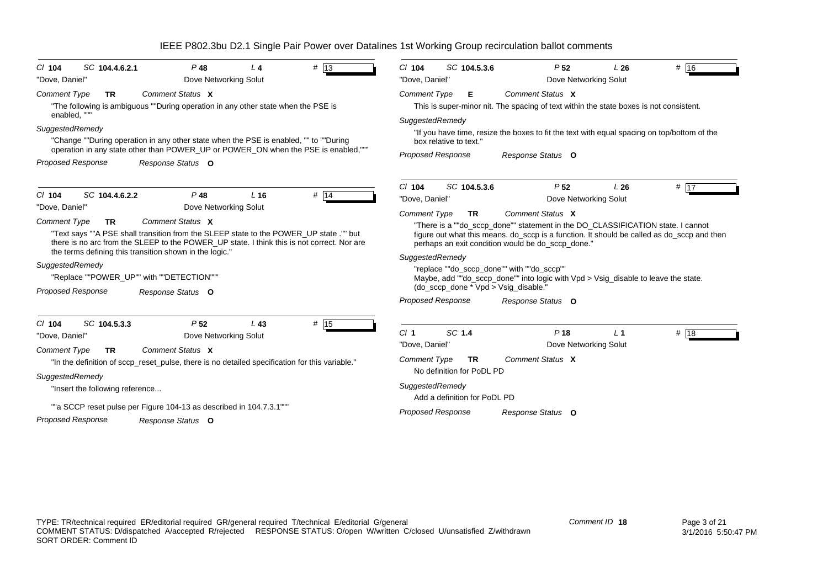| # 13<br>SC 104.4.6.2.1<br>$P$ 48<br>$Cl$ 104<br>L4<br>Dove Networking Solut<br>"Dove, Daniel"                                                                                                                                                                                                                                                                                                                                                                                                                                           | SC 104.5.3.6<br>$Cl$ 104<br>P <sub>52</sub><br># $16$<br>L26<br>Dove Networking Solut<br>"Dove, Daniel"                                                                                                                                                                                                                                                                                                                                                                                                                                                                                              |
|-----------------------------------------------------------------------------------------------------------------------------------------------------------------------------------------------------------------------------------------------------------------------------------------------------------------------------------------------------------------------------------------------------------------------------------------------------------------------------------------------------------------------------------------|------------------------------------------------------------------------------------------------------------------------------------------------------------------------------------------------------------------------------------------------------------------------------------------------------------------------------------------------------------------------------------------------------------------------------------------------------------------------------------------------------------------------------------------------------------------------------------------------------|
| Comment Status X<br><b>Comment Type</b><br>TR.<br>"The following is ambiguous ""During operation in any other state when the PSE is<br>enabled, "<br>SuggestedRemedy<br>"Change ""During operation in any other state when the PSE is enabled, "" to ""During<br>operation in any state other than POWER_UP or POWER_ON when the PSE is enabled,"""<br><b>Proposed Response</b><br>Response Status O                                                                                                                                    | Comment Status X<br><b>Comment Type</b><br>Е<br>This is super-minor nit. The spacing of text within the state boxes is not consistent.<br>SuggestedRemedy<br>"If you have time, resize the boxes to fit the text with equal spacing on top/bottom of the<br>box relative to text."<br><b>Proposed Response</b><br>Response Status O                                                                                                                                                                                                                                                                  |
| $P$ 48<br>$Cl$ 104<br>SC 104.4.6.2.2<br>L <sub>16</sub><br>$#$ 14<br>Dove Networking Solut<br>"Dove, Daniel"<br>Comment Status X<br><b>Comment Type</b><br><b>TR</b><br>"Text says ""A PSE shall transition from the SLEEP state to the POWER UP state."" but<br>there is no arc from the SLEEP to the POWER_UP state. I think this is not correct. Nor are<br>the terms defining this transition shown in the logic."<br>SuggestedRemedy<br>"Replace ""POWER UP"" with ""DETECTION"""<br><b>Proposed Response</b><br>Response Status O | SC 104.5.3.6<br>P <sub>52</sub><br>L26<br># $17$<br>$Cl$ 104<br>Dove Networking Solut<br>"Dove, Daniel"<br>Comment Status X<br><b>Comment Type</b><br><b>TR</b><br>"There is a ""do_sccp_done"" statement in the DO_CLASSIFICATION state. I cannot<br>figure out what this means. do_sccp is a function. It should be called as do_sccp and then<br>perhaps an exit condition would be do sccp done."<br>SuggestedRemedy<br>"replace ""do sccp done"" with ""do sccp""<br>Maybe, add ""do_sccp_done"" into logic with Vpd > Vsig_disable to leave the state.<br>(do_sccp_done * Vpd > Vsig_disable." |
| # 15<br>SC 104.5.3.3<br>$CI$ 104<br>P <sub>52</sub><br>$L$ 43<br>Dove Networking Solut<br>"Dove, Daniel"<br>Comment Status X<br><b>Comment Type</b><br><b>TR</b><br>"In the definition of sccp_reset_pulse, there is no detailed specification for this variable."<br>SuggestedRemedy<br>"Insert the following reference<br>""a SCCP reset pulse per Figure 104-13 as described in 104.7.3.1""<br><b>Proposed Response</b><br>Response Status O                                                                                         | <b>Proposed Response</b><br>Response Status O<br>SC 1.4<br>Cl <sub>1</sub><br>P <sub>18</sub><br>L <sub>1</sub><br># 18<br>Dove Networking Solut<br>"Dove, Daniel"<br>Comment Status X<br><b>Comment Type</b><br><b>TR</b><br>No definition for PoDL PD<br>SuggestedRemedy<br>Add a definition for PoDL PD<br><b>Proposed Response</b><br>Response Status O                                                                                                                                                                                                                                          |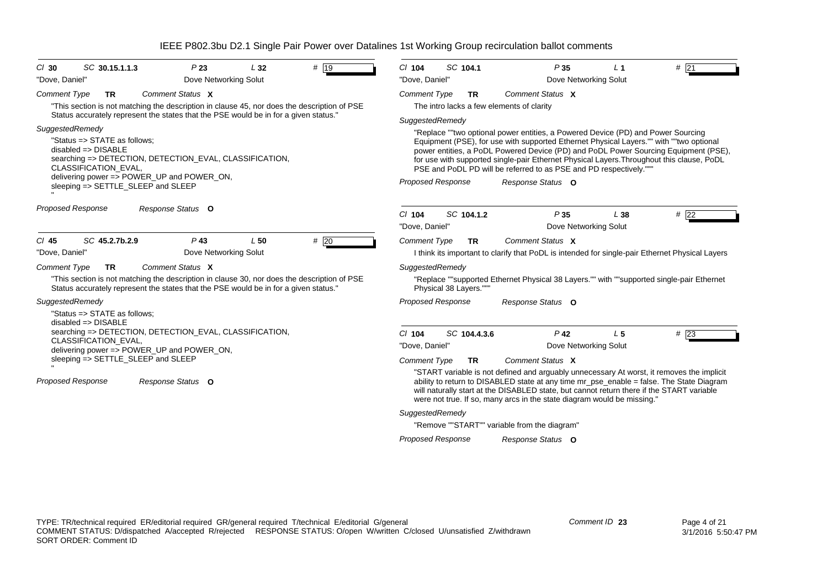| SC 104.1<br>SC 30.15.1.1.3<br># $ 19$<br>P23<br>L32<br>$CI$ 104<br>P35<br>L <sub>1</sub><br>$CI$ 30<br>Dove Networking Solut<br>Dove Networking Solut<br>"Dove, Daniel"<br>"Dove, Daniel"<br>Comment Status X<br>Comment Status X<br><b>Comment Type</b><br><b>TR</b><br>Comment Type<br><b>TR</b><br>The intro lacks a few elements of clarity<br>"This section is not matching the description in clause 45, nor does the description of PSE<br>Status accurately represent the states that the PSE would be in for a given status."<br>SuggestedRemedy<br>SuggestedRemedy<br>"Replace ""two optional power entities, a Powered Device (PD) and Power Sourcing<br>"Status => STATE as follows;<br>Equipment (PSE), for use with supported Ethernet Physical Layers."" with ""two optional<br>$disabeled \Rightarrow DISABLE$<br>power entities, a PoDL Powered Device (PD) and PoDL Power Sourcing Equipment (PSE),<br>searching => DETECTION, DETECTION_EVAL, CLASSIFICATION,<br>for use with supported single-pair Ethernet Physical Layers. Throughout this clause, PoDL<br>CLASSIFICATION_EVAL,<br>PSE and PoDL PD will be referred to as PSE and PD respectively.""<br>delivering power $\Rightarrow$ POWER UP and POWER ON,<br><b>Proposed Response</b><br>Response Status O<br>sleeping => SETTLE_SLEEP and SLEEP<br>Proposed Response<br>Response Status O<br>SC 104.1.2<br>P35<br>$Cl$ 104<br>L38<br>"Dove, Daniel"<br>Dove Networking Solut<br>$P$ 43<br>#20<br>$CI$ 45<br>SC 45.2.7b.2.9<br>L50<br>Comment Status X<br><b>Comment Type</b><br><b>TR</b><br>Dove Networking Solut<br>"Dove, Daniel"<br>I think its important to clarify that PoDL is intended for single-pair Ethernet Physical Layers<br><b>Comment Type</b><br>Comment Status X<br><b>TR</b><br>SuggestedRemedy<br>"This section is not matching the description in clause 30, nor does the description of PSE<br>"Replace ""supported Ethernet Physical 38 Layers."" with ""supported single-pair Ethernet<br>Status accurately represent the states that the PSE would be in for a given status."<br>Physical 38 Layers."""<br><b>Proposed Response</b><br>SuggestedRemedy<br>Response Status O<br>"Status => STATE as follows:<br>$disabeled \Rightarrow DISABLE$<br>searching => DETECTION, DETECTION_EVAL, CLASSIFICATION,<br>$P$ 42<br>$CI$ 104<br>SC 104.4.3.6<br>L <sub>5</sub><br><b>CLASSIFICATION EVAL,</b><br>"Dove, Daniel"<br>Dove Networking Solut<br>delivering power => POWER_UP and POWER_ON,<br>sleeping => SETTLE_SLEEP and SLEEP<br>Comment Status X<br>Comment Type<br><b>TR</b><br>"START variable is not defined and arguably unnecessary At worst, it removes the implicit<br><b>Proposed Response</b><br>ability to return to DISABLED state at any time mr_pse_enable = false. The State Diagram<br>Response Status O<br>will naturally start at the DISABLED state, but cannot return there if the START variable<br>were not true. If so, many arcs in the state diagram would be missing."<br>SuggestedRemedy<br>"Remove ""START"" variable from the diagram" |        |
|---------------------------------------------------------------------------------------------------------------------------------------------------------------------------------------------------------------------------------------------------------------------------------------------------------------------------------------------------------------------------------------------------------------------------------------------------------------------------------------------------------------------------------------------------------------------------------------------------------------------------------------------------------------------------------------------------------------------------------------------------------------------------------------------------------------------------------------------------------------------------------------------------------------------------------------------------------------------------------------------------------------------------------------------------------------------------------------------------------------------------------------------------------------------------------------------------------------------------------------------------------------------------------------------------------------------------------------------------------------------------------------------------------------------------------------------------------------------------------------------------------------------------------------------------------------------------------------------------------------------------------------------------------------------------------------------------------------------------------------------------------------------------------------------------------------------------------------------------------------------------------------------------------------------------------------------------------------------------------------------------------------------------------------------------------------------------------------------------------------------------------------------------------------------------------------------------------------------------------------------------------------------------------------------------------------------------------------------------------------------------------------------------------------------------------------------------------------------------------------------------------------------------------------------------------------------------------------------------------------------------------------------------------------------------------------------------------------------------------------------------------------------------------------------------------------------------------------------------------------------------------------------------------------------------------------------------------------------------------------------------------------------------------------------------------------------------|--------|
|                                                                                                                                                                                                                                                                                                                                                                                                                                                                                                                                                                                                                                                                                                                                                                                                                                                                                                                                                                                                                                                                                                                                                                                                                                                                                                                                                                                                                                                                                                                                                                                                                                                                                                                                                                                                                                                                                                                                                                                                                                                                                                                                                                                                                                                                                                                                                                                                                                                                                                                                                                                                                                                                                                                                                                                                                                                                                                                                                                                                                                                                           | # 21   |
|                                                                                                                                                                                                                                                                                                                                                                                                                                                                                                                                                                                                                                                                                                                                                                                                                                                                                                                                                                                                                                                                                                                                                                                                                                                                                                                                                                                                                                                                                                                                                                                                                                                                                                                                                                                                                                                                                                                                                                                                                                                                                                                                                                                                                                                                                                                                                                                                                                                                                                                                                                                                                                                                                                                                                                                                                                                                                                                                                                                                                                                                           |        |
|                                                                                                                                                                                                                                                                                                                                                                                                                                                                                                                                                                                                                                                                                                                                                                                                                                                                                                                                                                                                                                                                                                                                                                                                                                                                                                                                                                                                                                                                                                                                                                                                                                                                                                                                                                                                                                                                                                                                                                                                                                                                                                                                                                                                                                                                                                                                                                                                                                                                                                                                                                                                                                                                                                                                                                                                                                                                                                                                                                                                                                                                           |        |
|                                                                                                                                                                                                                                                                                                                                                                                                                                                                                                                                                                                                                                                                                                                                                                                                                                                                                                                                                                                                                                                                                                                                                                                                                                                                                                                                                                                                                                                                                                                                                                                                                                                                                                                                                                                                                                                                                                                                                                                                                                                                                                                                                                                                                                                                                                                                                                                                                                                                                                                                                                                                                                                                                                                                                                                                                                                                                                                                                                                                                                                                           |        |
|                                                                                                                                                                                                                                                                                                                                                                                                                                                                                                                                                                                                                                                                                                                                                                                                                                                                                                                                                                                                                                                                                                                                                                                                                                                                                                                                                                                                                                                                                                                                                                                                                                                                                                                                                                                                                                                                                                                                                                                                                                                                                                                                                                                                                                                                                                                                                                                                                                                                                                                                                                                                                                                                                                                                                                                                                                                                                                                                                                                                                                                                           |        |
|                                                                                                                                                                                                                                                                                                                                                                                                                                                                                                                                                                                                                                                                                                                                                                                                                                                                                                                                                                                                                                                                                                                                                                                                                                                                                                                                                                                                                                                                                                                                                                                                                                                                                                                                                                                                                                                                                                                                                                                                                                                                                                                                                                                                                                                                                                                                                                                                                                                                                                                                                                                                                                                                                                                                                                                                                                                                                                                                                                                                                                                                           |        |
|                                                                                                                                                                                                                                                                                                                                                                                                                                                                                                                                                                                                                                                                                                                                                                                                                                                                                                                                                                                                                                                                                                                                                                                                                                                                                                                                                                                                                                                                                                                                                                                                                                                                                                                                                                                                                                                                                                                                                                                                                                                                                                                                                                                                                                                                                                                                                                                                                                                                                                                                                                                                                                                                                                                                                                                                                                                                                                                                                                                                                                                                           |        |
|                                                                                                                                                                                                                                                                                                                                                                                                                                                                                                                                                                                                                                                                                                                                                                                                                                                                                                                                                                                                                                                                                                                                                                                                                                                                                                                                                                                                                                                                                                                                                                                                                                                                                                                                                                                                                                                                                                                                                                                                                                                                                                                                                                                                                                                                                                                                                                                                                                                                                                                                                                                                                                                                                                                                                                                                                                                                                                                                                                                                                                                                           | #22    |
|                                                                                                                                                                                                                                                                                                                                                                                                                                                                                                                                                                                                                                                                                                                                                                                                                                                                                                                                                                                                                                                                                                                                                                                                                                                                                                                                                                                                                                                                                                                                                                                                                                                                                                                                                                                                                                                                                                                                                                                                                                                                                                                                                                                                                                                                                                                                                                                                                                                                                                                                                                                                                                                                                                                                                                                                                                                                                                                                                                                                                                                                           |        |
|                                                                                                                                                                                                                                                                                                                                                                                                                                                                                                                                                                                                                                                                                                                                                                                                                                                                                                                                                                                                                                                                                                                                                                                                                                                                                                                                                                                                                                                                                                                                                                                                                                                                                                                                                                                                                                                                                                                                                                                                                                                                                                                                                                                                                                                                                                                                                                                                                                                                                                                                                                                                                                                                                                                                                                                                                                                                                                                                                                                                                                                                           |        |
|                                                                                                                                                                                                                                                                                                                                                                                                                                                                                                                                                                                                                                                                                                                                                                                                                                                                                                                                                                                                                                                                                                                                                                                                                                                                                                                                                                                                                                                                                                                                                                                                                                                                                                                                                                                                                                                                                                                                                                                                                                                                                                                                                                                                                                                                                                                                                                                                                                                                                                                                                                                                                                                                                                                                                                                                                                                                                                                                                                                                                                                                           |        |
|                                                                                                                                                                                                                                                                                                                                                                                                                                                                                                                                                                                                                                                                                                                                                                                                                                                                                                                                                                                                                                                                                                                                                                                                                                                                                                                                                                                                                                                                                                                                                                                                                                                                                                                                                                                                                                                                                                                                                                                                                                                                                                                                                                                                                                                                                                                                                                                                                                                                                                                                                                                                                                                                                                                                                                                                                                                                                                                                                                                                                                                                           |        |
|                                                                                                                                                                                                                                                                                                                                                                                                                                                                                                                                                                                                                                                                                                                                                                                                                                                                                                                                                                                                                                                                                                                                                                                                                                                                                                                                                                                                                                                                                                                                                                                                                                                                                                                                                                                                                                                                                                                                                                                                                                                                                                                                                                                                                                                                                                                                                                                                                                                                                                                                                                                                                                                                                                                                                                                                                                                                                                                                                                                                                                                                           |        |
|                                                                                                                                                                                                                                                                                                                                                                                                                                                                                                                                                                                                                                                                                                                                                                                                                                                                                                                                                                                                                                                                                                                                                                                                                                                                                                                                                                                                                                                                                                                                                                                                                                                                                                                                                                                                                                                                                                                                                                                                                                                                                                                                                                                                                                                                                                                                                                                                                                                                                                                                                                                                                                                                                                                                                                                                                                                                                                                                                                                                                                                                           |        |
|                                                                                                                                                                                                                                                                                                                                                                                                                                                                                                                                                                                                                                                                                                                                                                                                                                                                                                                                                                                                                                                                                                                                                                                                                                                                                                                                                                                                                                                                                                                                                                                                                                                                                                                                                                                                                                                                                                                                                                                                                                                                                                                                                                                                                                                                                                                                                                                                                                                                                                                                                                                                                                                                                                                                                                                                                                                                                                                                                                                                                                                                           | $#$ 23 |
|                                                                                                                                                                                                                                                                                                                                                                                                                                                                                                                                                                                                                                                                                                                                                                                                                                                                                                                                                                                                                                                                                                                                                                                                                                                                                                                                                                                                                                                                                                                                                                                                                                                                                                                                                                                                                                                                                                                                                                                                                                                                                                                                                                                                                                                                                                                                                                                                                                                                                                                                                                                                                                                                                                                                                                                                                                                                                                                                                                                                                                                                           |        |
|                                                                                                                                                                                                                                                                                                                                                                                                                                                                                                                                                                                                                                                                                                                                                                                                                                                                                                                                                                                                                                                                                                                                                                                                                                                                                                                                                                                                                                                                                                                                                                                                                                                                                                                                                                                                                                                                                                                                                                                                                                                                                                                                                                                                                                                                                                                                                                                                                                                                                                                                                                                                                                                                                                                                                                                                                                                                                                                                                                                                                                                                           |        |
|                                                                                                                                                                                                                                                                                                                                                                                                                                                                                                                                                                                                                                                                                                                                                                                                                                                                                                                                                                                                                                                                                                                                                                                                                                                                                                                                                                                                                                                                                                                                                                                                                                                                                                                                                                                                                                                                                                                                                                                                                                                                                                                                                                                                                                                                                                                                                                                                                                                                                                                                                                                                                                                                                                                                                                                                                                                                                                                                                                                                                                                                           |        |
|                                                                                                                                                                                                                                                                                                                                                                                                                                                                                                                                                                                                                                                                                                                                                                                                                                                                                                                                                                                                                                                                                                                                                                                                                                                                                                                                                                                                                                                                                                                                                                                                                                                                                                                                                                                                                                                                                                                                                                                                                                                                                                                                                                                                                                                                                                                                                                                                                                                                                                                                                                                                                                                                                                                                                                                                                                                                                                                                                                                                                                                                           |        |
|                                                                                                                                                                                                                                                                                                                                                                                                                                                                                                                                                                                                                                                                                                                                                                                                                                                                                                                                                                                                                                                                                                                                                                                                                                                                                                                                                                                                                                                                                                                                                                                                                                                                                                                                                                                                                                                                                                                                                                                                                                                                                                                                                                                                                                                                                                                                                                                                                                                                                                                                                                                                                                                                                                                                                                                                                                                                                                                                                                                                                                                                           |        |
| <b>Proposed Response</b><br>Response Status O                                                                                                                                                                                                                                                                                                                                                                                                                                                                                                                                                                                                                                                                                                                                                                                                                                                                                                                                                                                                                                                                                                                                                                                                                                                                                                                                                                                                                                                                                                                                                                                                                                                                                                                                                                                                                                                                                                                                                                                                                                                                                                                                                                                                                                                                                                                                                                                                                                                                                                                                                                                                                                                                                                                                                                                                                                                                                                                                                                                                                             |        |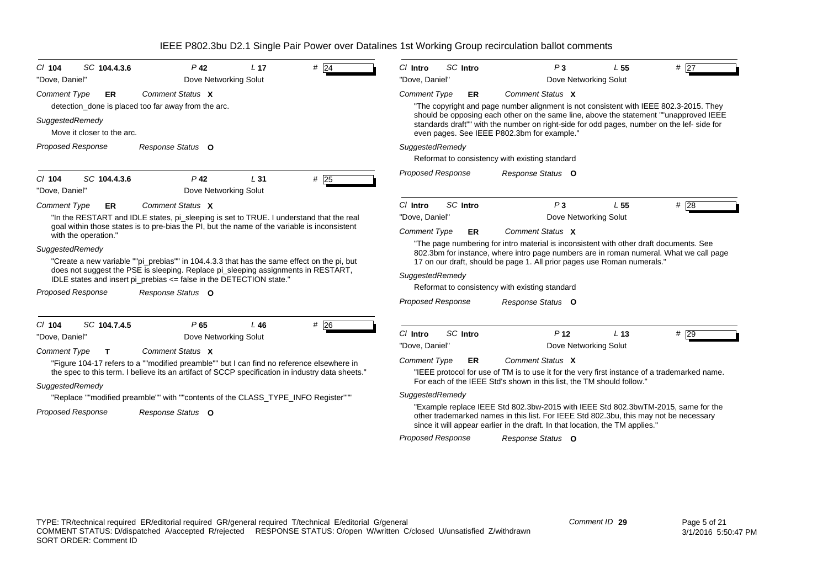| SC 104.4.3.6<br>$Cl$ 104                                                                      | $P$ 42                                                                                                                                                                                                                                                                                                                                                                                                                                                                        | L <sub>17</sub> | #24 | SC Intro<br>$Cl$ Intro                                                                                              | P <sub>3</sub>                                                                                                                                                                                                                                                                                                                                                                                                                                                                                                            | L <sub>55</sub> | # $\overline{27}$ |  |  |
|-----------------------------------------------------------------------------------------------|-------------------------------------------------------------------------------------------------------------------------------------------------------------------------------------------------------------------------------------------------------------------------------------------------------------------------------------------------------------------------------------------------------------------------------------------------------------------------------|-----------------|-----|---------------------------------------------------------------------------------------------------------------------|---------------------------------------------------------------------------------------------------------------------------------------------------------------------------------------------------------------------------------------------------------------------------------------------------------------------------------------------------------------------------------------------------------------------------------------------------------------------------------------------------------------------------|-----------------|-------------------|--|--|
| "Dove, Daniel"                                                                                | Dove Networking Solut                                                                                                                                                                                                                                                                                                                                                                                                                                                         |                 |     | "Dove, Daniel"<br>Dove Networking Solut                                                                             |                                                                                                                                                                                                                                                                                                                                                                                                                                                                                                                           |                 |                   |  |  |
| <b>Comment Type</b><br><b>ER</b>                                                              | Comment Status X<br>detection_done is placed too far away from the arc.                                                                                                                                                                                                                                                                                                                                                                                                       |                 |     | <b>Comment Type</b><br>ER                                                                                           | Comment Status X<br>"The copyright and page number alignment is not consistent with IEEE 802.3-2015. They                                                                                                                                                                                                                                                                                                                                                                                                                 |                 |                   |  |  |
| SuggestedRemedy<br>Move it closer to the arc.                                                 |                                                                                                                                                                                                                                                                                                                                                                                                                                                                               |                 |     |                                                                                                                     | should be opposing each other on the same line, above the statement ""unapproved IEEE<br>standards draft"" with the number on right-side for odd pages, number on the lef- side for<br>even pages. See IEEE P802.3bm for example."                                                                                                                                                                                                                                                                                        |                 |                   |  |  |
| <b>Proposed Response</b>                                                                      | Response Status O                                                                                                                                                                                                                                                                                                                                                                                                                                                             |                 |     | SuggestedRemedy                                                                                                     | Reformat to consistency with existing standard                                                                                                                                                                                                                                                                                                                                                                                                                                                                            |                 |                   |  |  |
| SC 104.4.3.6<br>$Cl$ 104<br>"Dove, Daniel"                                                    | $P$ 42<br>Dove Networking Solut                                                                                                                                                                                                                                                                                                                                                                                                                                               | L <sub>31</sub> | #25 | <b>Proposed Response</b>                                                                                            | Response Status O                                                                                                                                                                                                                                                                                                                                                                                                                                                                                                         |                 |                   |  |  |
| <b>Comment Type</b><br>ER                                                                     | Comment Status X                                                                                                                                                                                                                                                                                                                                                                                                                                                              |                 |     | SC Intro<br>C/ Intro                                                                                                | P <sub>3</sub>                                                                                                                                                                                                                                                                                                                                                                                                                                                                                                            | L 55            | $#$ 28            |  |  |
| with the operation."<br>SuggestedRemedy<br>Proposed Response<br>SC 104.7.4.5<br>C/104         | "In the RESTART and IDLE states, pi_sleeping is set to TRUE. I understand that the real<br>goal within those states is to pre-bias the PI, but the name of the variable is inconsistent<br>"Create a new variable ""pi prebias"" in 104.4.3.3 that has the same effect on the pi, but<br>does not suggest the PSE is sleeping. Replace pi_sleeping assignments in RESTART,<br>IDLE states and insert pi_prebias <= false in the DETECTION state."<br>Response Status O<br>P65 | $L$ 46          | #26 | "Dove. Daniel"<br><b>Comment Type</b><br>ER<br>SuggestedRemedy<br><b>Proposed Response</b>                          | Dove Networking Solut<br>Comment Status X<br>"The page numbering for intro material is inconsistent with other draft documents. See<br>802.3bm for instance, where intro page numbers are in roman numeral. What we call page<br>17 on our draft, should be page 1. All prior pages use Roman numerals."<br>Reformat to consistency with existing standard<br>Response Status O                                                                                                                                           |                 |                   |  |  |
| "Dove, Daniel"<br><b>Comment Type</b><br>$\mathsf{T}$<br>SuggestedRemedy<br>Proposed Response | Dove Networking Solut<br>Comment Status X<br>"Figure 104-17 refers to a ""modified preamble"" but I can find no reference elsewhere in<br>the spec to this term. I believe its an artifact of SCCP specification in industry data sheets."<br>"Replace ""modified preamble"" with ""contents of the CLASS_TYPE_INFO Register"""<br>Response Status O                                                                                                                          |                 |     | SC Intro<br>C/ Intro<br>"Dove, Daniel"<br><b>Comment Type</b><br>ER.<br>SuggestedRemedy<br><b>Proposed Response</b> | P <sub>12</sub><br>Dove Networking Solut<br>Comment Status X<br>"IEEE protocol for use of TM is to use it for the very first instance of a trademarked name.<br>For each of the IEEE Std's shown in this list, the TM should follow."<br>"Example replace IEEE Std 802.3bw-2015 with IEEE Std 802.3bwTM-2015, same for the<br>other trademarked names in this list. For IEEE Std 802.3bu, this may not be necessary<br>since it will appear earlier in the draft. In that location, the TM applies."<br>Response Status O | L <sub>13</sub> | #29               |  |  |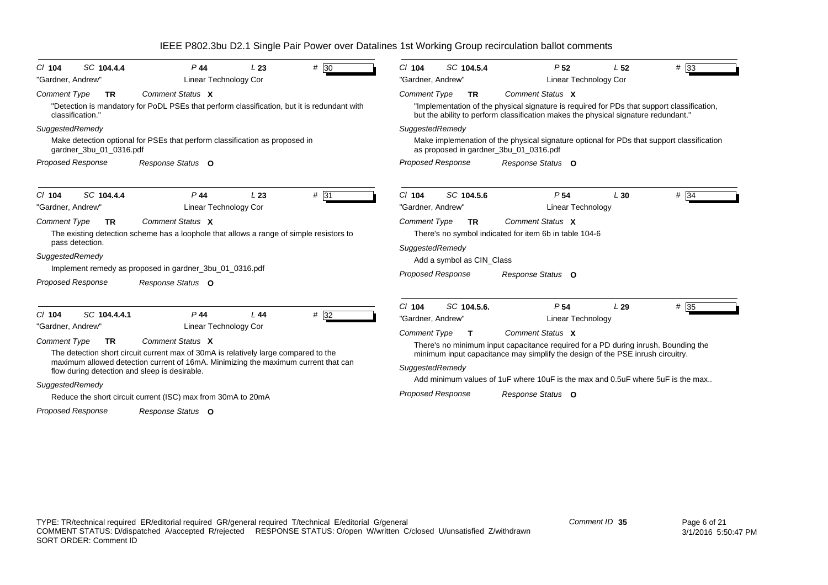| SC 104.4.4                                                                                                                                                                                                                                                                                        | SC 104.5.4                                                                                                                                                                                                                         |
|---------------------------------------------------------------------------------------------------------------------------------------------------------------------------------------------------------------------------------------------------------------------------------------------------|------------------------------------------------------------------------------------------------------------------------------------------------------------------------------------------------------------------------------------|
| $#$ 30                                                                                                                                                                                                                                                                                            | #33                                                                                                                                                                                                                                |
| $P$ 44                                                                                                                                                                                                                                                                                            | $Cl$ 104                                                                                                                                                                                                                           |
| $Cl$ 104                                                                                                                                                                                                                                                                                          | P <sub>52</sub>                                                                                                                                                                                                                    |
| L23                                                                                                                                                                                                                                                                                               | L <sub>52</sub>                                                                                                                                                                                                                    |
| Linear Technology Cor                                                                                                                                                                                                                                                                             | "Gardner, Andrew"                                                                                                                                                                                                                  |
| "Gardner, Andrew"                                                                                                                                                                                                                                                                                 | <b>Linear Technology Cor</b>                                                                                                                                                                                                       |
| Comment Status X                                                                                                                                                                                                                                                                                  | Comment Status X                                                                                                                                                                                                                   |
| Comment Type                                                                                                                                                                                                                                                                                      | <b>Comment Type</b>                                                                                                                                                                                                                |
| <b>TR</b>                                                                                                                                                                                                                                                                                         | <b>TR</b>                                                                                                                                                                                                                          |
| "Detection is mandatory for PoDL PSEs that perform classification, but it is redundant with                                                                                                                                                                                                       | "Implementation of the physical signature is required for PDs that support classification,                                                                                                                                         |
| classification."                                                                                                                                                                                                                                                                                  | but the ability to perform classification makes the physical signature redundant."                                                                                                                                                 |
| SuggestedRemedy                                                                                                                                                                                                                                                                                   | SuggestedRemedy                                                                                                                                                                                                                    |
| Make detection optional for PSEs that perform classification as proposed in                                                                                                                                                                                                                       | Make implemenation of the physical signature optional for PDs that support classification                                                                                                                                          |
| gardner_3bu_01_0316.pdf                                                                                                                                                                                                                                                                           | as proposed in gardner_3bu_01_0316.pdf                                                                                                                                                                                             |
| Proposed Response                                                                                                                                                                                                                                                                                 | Proposed Response                                                                                                                                                                                                                  |
| Response Status O                                                                                                                                                                                                                                                                                 | Response Status O                                                                                                                                                                                                                  |
| SC 104.4.4                                                                                                                                                                                                                                                                                        | SC 104.5.6                                                                                                                                                                                                                         |
| $P$ 44                                                                                                                                                                                                                                                                                            | P <sub>54</sub>                                                                                                                                                                                                                    |
| C/ 104                                                                                                                                                                                                                                                                                            | # 34                                                                                                                                                                                                                               |
| L23                                                                                                                                                                                                                                                                                               | $Cl$ 104                                                                                                                                                                                                                           |
| $#$ 31                                                                                                                                                                                                                                                                                            | L30                                                                                                                                                                                                                                |
| Linear Technology Cor                                                                                                                                                                                                                                                                             | "Gardner, Andrew"                                                                                                                                                                                                                  |
| "Gardner, Andrew"                                                                                                                                                                                                                                                                                 | <b>Linear Technology</b>                                                                                                                                                                                                           |
| Comment Status X<br><b>Comment Type</b><br><b>TR</b><br>The existing detection scheme has a loophole that allows a range of simple resistors to<br>pass detection.<br>SuggestedRemedy<br>Implement remedy as proposed in gardner 3bu 01 0316.pdf<br><b>Proposed Response</b><br>Response Status O | Comment Status X<br><b>Comment Type</b><br><b>TR</b><br>There's no symbol indicated for item 6b in table 104-6<br>SuggestedRemedy<br>Add a symbol as CIN Class<br><b>Proposed Response</b><br>Response Status O                    |
| SC 104.4.4.1                                                                                                                                                                                                                                                                                      | SC 104.5.6.                                                                                                                                                                                                                        |
| $P$ 44                                                                                                                                                                                                                                                                                            | $# \overline{35}$                                                                                                                                                                                                                  |
| $#$ 32                                                                                                                                                                                                                                                                                            | $Cl$ 104                                                                                                                                                                                                                           |
| $Cl$ 104                                                                                                                                                                                                                                                                                          | P <sub>54</sub>                                                                                                                                                                                                                    |
| L44                                                                                                                                                                                                                                                                                               | L29                                                                                                                                                                                                                                |
| Linear Technology Cor                                                                                                                                                                                                                                                                             | "Gardner, Andrew"                                                                                                                                                                                                                  |
| "Gardner, Andrew"                                                                                                                                                                                                                                                                                 | <b>Linear Technology</b>                                                                                                                                                                                                           |
| <b>Comment Type</b><br>Comment Status X<br><b>TR</b><br>The detection short circuit current max of 30mA is relatively large compared to the<br>maximum allowed detection current of 16mA. Minimizing the maximum current that can<br>flow during detection and sleep is desirable.                | <b>Comment Type</b><br>Comment Status X<br>There's no minimum input capacitance required for a PD during inrush. Bounding the<br>minimum input capacitance may simplify the design of the PSE inrush circuitry.<br>SuggestedRemedy |
| SuggestedRemedy<br>Reduce the short circuit current (ISC) max from 30mA to 20mA                                                                                                                                                                                                                   | Add minimum values of 1uF where 10uF is the max and 0.5uF where 5uF is the max<br><b>Proposed Response</b><br>Response Status O                                                                                                    |
| <b>Proposed Response</b><br>Response Status O                                                                                                                                                                                                                                                     |                                                                                                                                                                                                                                    |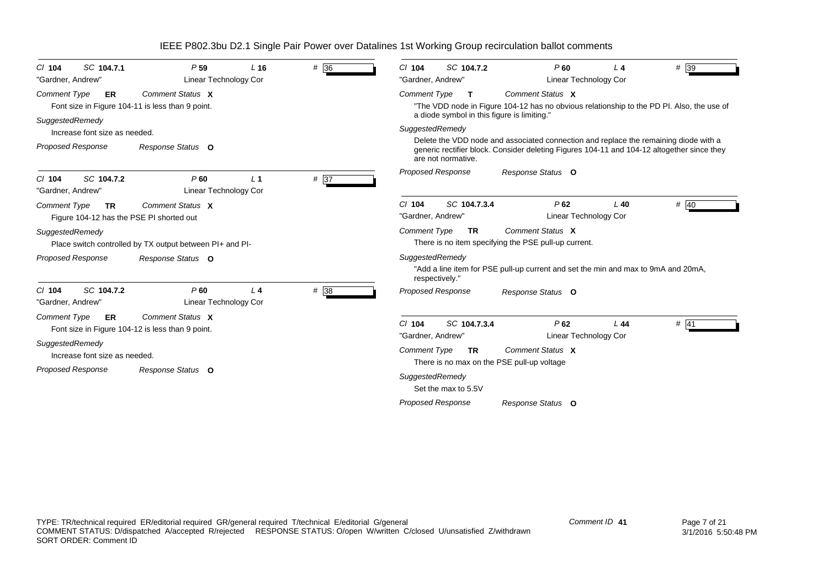| SC 104.7.1<br>$CI$ 104<br>"Gardner, Andrew"                                  | P <sub>59</sub><br>Linear Technology Cor                             | L16            | # 36              | # 39<br>SC 104.7.2<br>P60<br>$CI$ 104<br>14.<br>"Gardner, Andrew"<br>Linear Technology Cor                                                                                                               |
|------------------------------------------------------------------------------|----------------------------------------------------------------------|----------------|-------------------|----------------------------------------------------------------------------------------------------------------------------------------------------------------------------------------------------------|
| <b>Comment Type</b><br>ER                                                    | Comment Status X<br>Font size in Figure 104-11 is less than 9 point. |                |                   | Comment Status X<br><b>Comment Type</b><br>$\mathbf{T}$<br>"The VDD node in Figure 104-12 has no obvious relationship to the PD PI. Also, the use of<br>a diode symbol in this figure is limiting."      |
| SuggestedRemedy<br>Increase font size as needed.                             |                                                                      |                |                   | SuggestedRemedy                                                                                                                                                                                          |
| <b>Proposed Response</b>                                                     | Response Status O                                                    |                |                   | Delete the VDD node and associated connection and replace the remaining diode with a<br>generic rectifier block. Consider deleting Figures 104-11 and 104-12 altogether since they<br>are not normative. |
| SC 104.7.2<br>$Cl$ 104<br>"Gardner, Andrew"                                  | P60<br>Linear Technology Cor                                         | L <sub>1</sub> | $# \overline{37}$ | <b>Proposed Response</b><br>Response Status O                                                                                                                                                            |
| <b>Comment Type</b><br><b>TR</b><br>Figure 104-12 has the PSE PI shorted out | Comment Status X                                                     |                |                   | SC 104.7.3.4<br># 40<br>$Cl$ 104<br>P62<br>$L$ 40<br>"Gardner, Andrew"<br>Linear Technology Cor                                                                                                          |
| SuggestedRemedy                                                              | Place switch controlled by TX output between PI+ and PI-             |                |                   | Comment Status X<br><b>Comment Type</b><br><b>TR</b><br>There is no item specifying the PSE pull-up current.                                                                                             |
| Proposed Response                                                            | Response Status O                                                    |                |                   | SuggestedRemedy<br>"Add a line item for PSE pull-up current and set the min and max to 9mA and 20mA,<br>respectively."                                                                                   |
| SC 104.7.2<br>$Cl$ 104<br>"Gardner, Andrew"                                  | P60<br>Linear Technology Cor                                         | L <sub>4</sub> | # 38              | <b>Proposed Response</b><br>Response Status O                                                                                                                                                            |
| <b>Comment Type</b><br>ER                                                    | Comment Status X<br>Font size in Figure 104-12 is less than 9 point. |                |                   | $Cl$ 104<br>SC 104.7.3.4<br>P62<br># 141<br>L44<br>"Gardner, Andrew"<br><b>Linear Technology Cor</b>                                                                                                     |
| SuggestedRemedy<br>Increase font size as needed.                             |                                                                      |                |                   | Comment Status X<br><b>Comment Type</b><br><b>TR</b><br>There is no max on the PSE pull-up voltage                                                                                                       |
| <b>Proposed Response</b>                                                     | Response Status O                                                    |                |                   | SuggestedRemedy<br>Set the max to 5.5V                                                                                                                                                                   |
|                                                                              |                                                                      |                |                   | Proposed Response<br>Response Status O                                                                                                                                                                   |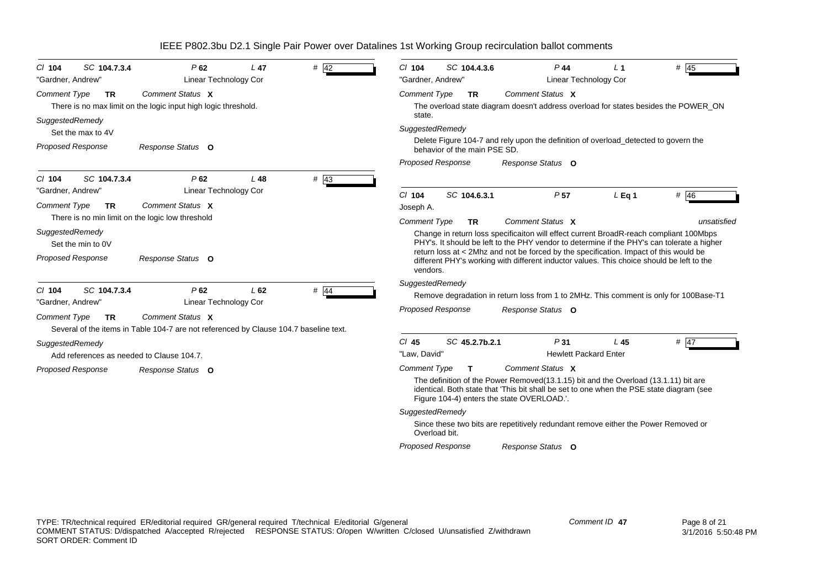| SC 104.7.3.4<br>$CI$ 104<br>"Gardner, Andrew"                | P62<br>Linear Technology Cor                                                                              | $#$ 42<br>$L$ 47 | $Cl$ 104<br>"Gardner, Andrew" | SC 104.4.3.6                 | $P$ 44                                                                                                                                                                                                                         | <b>Linear Technology Cor</b> | L <sub>1</sub>  | # 45        |
|--------------------------------------------------------------|-----------------------------------------------------------------------------------------------------------|------------------|-------------------------------|------------------------------|--------------------------------------------------------------------------------------------------------------------------------------------------------------------------------------------------------------------------------|------------------------------|-----------------|-------------|
| <b>Comment Type</b><br><b>TR</b>                             | Comment Status X                                                                                          |                  | <b>Comment Type</b>           | <b>TR</b>                    | Comment Status X                                                                                                                                                                                                               |                              |                 |             |
|                                                              | There is no max limit on the logic input high logic threshold.                                            |                  | state.                        |                              | The overload state diagram doesn't address overload for states besides the POWER_ON                                                                                                                                            |                              |                 |             |
| SuggestedRemedy<br>Set the max to 4V                         |                                                                                                           |                  | SuggestedRemedy               |                              |                                                                                                                                                                                                                                |                              |                 |             |
| <b>Proposed Response</b>                                     | Response Status O                                                                                         |                  |                               | behavior of the main PSE SD. | Delete Figure 104-7 and rely upon the definition of overload_detected to govern the                                                                                                                                            |                              |                 |             |
|                                                              |                                                                                                           |                  | Proposed Response             |                              | Response Status O                                                                                                                                                                                                              |                              |                 |             |
| SC 104.7.3.4<br>$CI$ 104<br>"Gardner, Andrew"                | P62<br>Linear Technology Cor                                                                              | $#$ 43<br>$L$ 48 |                               |                              |                                                                                                                                                                                                                                |                              |                 |             |
| <b>Comment Type</b><br><b>TR</b>                             | Comment Status X                                                                                          |                  | $Cl$ 104<br>Joseph A.         | SC 104.6.3.1                 | P <sub>57</sub>                                                                                                                                                                                                                |                              | $L$ Eq 1        | # 46        |
|                                                              | There is no min limit on the logic low threshold                                                          |                  | <b>Comment Type</b>           | TR.                          | Comment Status X                                                                                                                                                                                                               |                              |                 | unsatisfied |
| SuggestedRemedy<br>Set the min to 0V                         |                                                                                                           |                  |                               |                              | Change in return loss specificaiton will effect current BroadR-reach compliant 100Mbps<br>PHY's. It should be left to the PHY vendor to determine if the PHY's can tolerate a higher                                           |                              |                 |             |
| <b>Proposed Response</b>                                     | Response Status O                                                                                         |                  | vendors.                      |                              | return loss at < 2Mhz and not be forced by the specification. Impact of this would be<br>different PHY's working with different inductor values. This choice should be left to the                                             |                              |                 |             |
| SC 104.7.3.4<br>$Cl$ 104<br>"Gardner, Andrew"                | P62<br>Linear Technology Cor                                                                              | $#$ 44<br>L62    | SuggestedRemedy               |                              | Remove degradation in return loss from 1 to 2MHz. This comment is only for 100Base-T1                                                                                                                                          |                              |                 |             |
| <b>Comment Type</b><br>TR                                    | Comment Status X<br>Several of the items in Table 104-7 are not referenced by Clause 104.7 baseline text. |                  | <b>Proposed Response</b>      |                              | Response Status O                                                                                                                                                                                                              |                              |                 |             |
| SuggestedRemedy<br>Add references as needed to Clause 104.7. |                                                                                                           |                  | $Cl$ 45<br>"Law, David"       | SC 45.2.7b.2.1               | P <sub>31</sub>                                                                                                                                                                                                                | <b>Hewlett Packard Enter</b> | L <sub>45</sub> | $#$ 47      |
|                                                              |                                                                                                           |                  | <b>Comment Type</b>           | T.                           | Comment Status X                                                                                                                                                                                                               |                              |                 |             |
| Proposed Response                                            | Response Status O                                                                                         |                  |                               |                              | The definition of the Power Removed (13.1.15) bit and the Overload (13.1.11) bit are<br>identical. Both state that 'This bit shall be set to one when the PSE state diagram (see<br>Figure 104-4) enters the state OVERLOAD.'. |                              |                 |             |
|                                                              |                                                                                                           |                  | SuggestedRemedy               |                              |                                                                                                                                                                                                                                |                              |                 |             |
|                                                              |                                                                                                           |                  | Overload bit.                 |                              | Since these two bits are repetitively redundant remove either the Power Removed or                                                                                                                                             |                              |                 |             |
|                                                              |                                                                                                           |                  | <b>Proposed Response</b>      |                              | Response Status O                                                                                                                                                                                                              |                              |                 |             |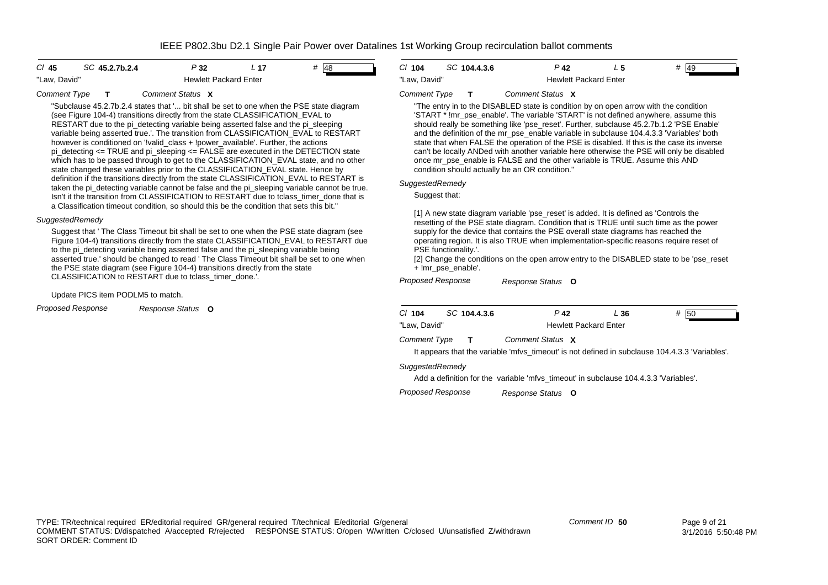| CI 45        | SC 45.2.7b.2.4 | P32                          | L 17 | # 48 |
|--------------|----------------|------------------------------|------|------|
| "Law. David" |                | <b>Hewlett Packard Enter</b> |      |      |

#### *Comment Type* **T***Comment Status***X**

"Subclause 45.2.7b.2.4 states that '... bit shall be set to one when the PSE state diagram (see Figure 104-4) transitions directly from the state CLASSIFICATION\_EVAL to RESTART due to the pi\_detecting variable being asserted false and the pi\_sleeping variable being asserted true.'. The transition from CLASSIFICATION\_EVAL to RESTART however is conditioned on '!valid\_class + !power\_available'. Further, the actions pi\_detecting  $\le$  TRUE and pi\_sleeping  $\le$  FALSE are executed in the DETECTION state which has to be passed through to get to the CLASSIFICATION EVAL state, and no other state changed these variables prior to the CLASSIFICATION\_EVAL state. Hence by definition if the transitions directly from the state CLASSIFICATION\_EVAL to RESTART is taken the pi\_detecting variable cannot be false and the pi\_sleeping variable cannot be true. Isn't it the transition from CLASSIFICATION to RESTART due to tclass\_timer\_done that is a Classification timeout condition, so should this be the condition that sets this bit."

### *SuggestedRemedy*

Suggest that ' The Class Timeout bit shall be set to one when the PSE state diagram (see Figure 104-4) transitions directly from the state CLASSIFICATION\_EVAL to RESTART due to the pi\_detecting variable being asserted false and the pi\_sleeping variable being asserted true.' should be changed to read ' The Class Timeout bit shall be set to one when the PSE state diagram (see Figure 104-4) transitions directly from the state CLASSIFICATION to RESTART due to tclass\_timer\_done.'.

### Update PICS item PODLM5 to match.

*Proposed Response Response Status* **O**

*Cl* **104** *SC* **104.4.3.6** *P* **42** *L* **5** *#* 49"Law, David" The Mewlett Packard Enter

#### *Comment Type* **T***Comment Status***X**

"The entry in to the DISABLED state is condition by on open arrow with the condition 'START \* !mr\_pse\_enable'. The variable 'START' is not defined anywhere, assume this should really be something like 'pse\_reset'. Further, subclause 45.2.7b.1.2 'PSE Enable' and the definition of the mr\_pse\_enable variable in subclause 104.4.3.3 'Variables' both state that when FALSE the operation of the PSE is disabled. If this is the case its inverse can't be locally ANDed with another variable here otherwise the PSE will only be disabled once mr\_pse\_enable is FALSE and the other variable is TRUE. Assume this AND condition should actually be an OR condition."

### *SuggestedRemedy*

Suggest that:

[1] A new state diagram variable 'pse\_reset' is added. It is defined as 'Controls the resetting of the PSE state diagram. Condition that is TRUE until such time as the power supply for the device that contains the PSE overall state diagrams has reached the operating region. It is also TRUE when implementation-specific reasons require reset of PSE functionality.'.

[2] Change the conditions on the open arrow entry to the DISABLED state to be 'pse\_reset + !mr\_pse\_enable'.

#### *Proposed Response Response Status* **O**

| $Cl$ 104            | SC 104.4.3.6 | P 42                                                                                           | L 36 | # 50 |
|---------------------|--------------|------------------------------------------------------------------------------------------------|------|------|
| "Law. David"        |              | <b>Hewlett Packard Enter</b>                                                                   |      |      |
| <b>Comment Type</b> | $\mathbf{T}$ | Comment Status X                                                                               |      |      |
|                     |              | It appears that the variable 'mfvs_timeout' is not defined in subclause 104.4.3.3 'Variables'. |      |      |

### *SuggestedRemedy*

Add a definition for the variable 'mfvs timeout' in subclause 104.4.3.3 'Variables'.

*Proposed Response Response Status* **O**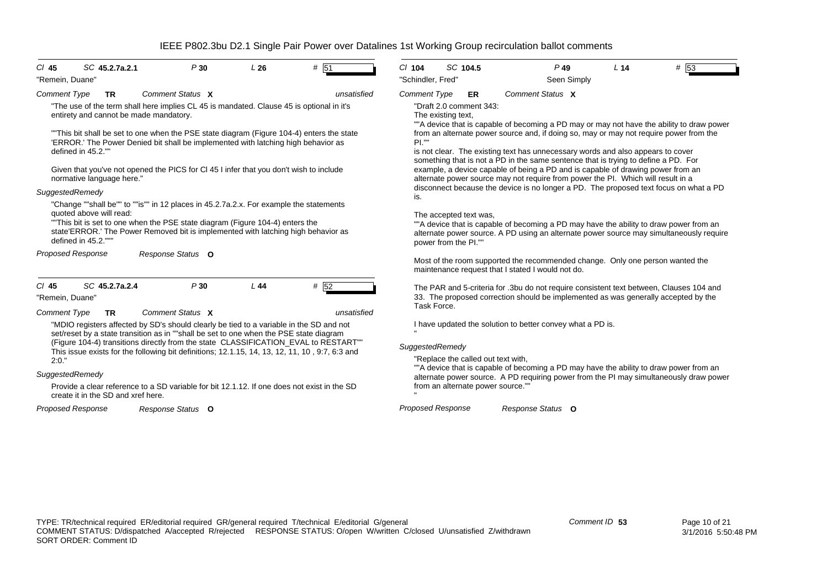| SC 45.2.7a.2.1<br>$CI$ 45<br>"Remein, Duane"                                                                                                                                                                                                                                                                                                                                                                                                                                                                                                                                                                                                                                                                                                                                                                                                                        | P30                                                                                                                                                                                                                                                                                                                                                                                                   | L26       | # 51                                                                                                                                                                                                                                                                                                                                                                                                                                                                                                                                                                                                                                                                                                                                                                                                                                                                                                                                                                        | $Cl$ 104<br>"Schindler, Fred"                                        | SC 104.5 | $P$ 49<br>Seen Simply                                                                                                                                                                                                                       | L <sub>14</sub> | # 53 |
|---------------------------------------------------------------------------------------------------------------------------------------------------------------------------------------------------------------------------------------------------------------------------------------------------------------------------------------------------------------------------------------------------------------------------------------------------------------------------------------------------------------------------------------------------------------------------------------------------------------------------------------------------------------------------------------------------------------------------------------------------------------------------------------------------------------------------------------------------------------------|-------------------------------------------------------------------------------------------------------------------------------------------------------------------------------------------------------------------------------------------------------------------------------------------------------------------------------------------------------------------------------------------------------|-----------|-----------------------------------------------------------------------------------------------------------------------------------------------------------------------------------------------------------------------------------------------------------------------------------------------------------------------------------------------------------------------------------------------------------------------------------------------------------------------------------------------------------------------------------------------------------------------------------------------------------------------------------------------------------------------------------------------------------------------------------------------------------------------------------------------------------------------------------------------------------------------------------------------------------------------------------------------------------------------------|----------------------------------------------------------------------|----------|---------------------------------------------------------------------------------------------------------------------------------------------------------------------------------------------------------------------------------------------|-----------------|------|
| <b>Comment Type</b><br><b>TR</b><br>"The use of the term shall here implies CL 45 is mandated. Clause 45 is optional in it's<br>entirety and cannot be made mandatory.<br>"This bit shall be set to one when the PSE state diagram (Figure 104-4) enters the state<br>'ERROR.' The Power Denied bit shall be implemented with latching high behavior as<br>defined in 45.2.""<br>Given that you've not opened the PICS for CI 45 I infer that you don't wish to include<br>normative language here."<br>SuggestedRemedy<br>"Change ""shall be"" to ""is"" in 12 places in 45.2.7a.2.x. For example the statements<br>quoted above will read:<br>"This bit is set to one when the PSE state diagram (Figure 104-4) enters the<br>state'ERROR.' The Power Removed bit is implemented with latching high behavior as<br>defined in 45.2.""<br><b>Proposed Response</b> | <b>Comment Type</b><br>"Draft 2.0 comment 343:<br>The existing text,<br>PL'''<br>is.<br>The accepted text was,<br>power from the PI.""                                                                                                                                                                                                                                                                | <b>ER</b> | Comment Status X<br>""A device that is capable of becoming a PD may or may not have the ability to draw power<br>from an alternate power source and, if doing so, may or may not require power from the<br>is not clear. The existing text has unnecessary words and also appears to cover<br>something that is not a PD in the same sentence that is trying to define a PD. For<br>example, a device capable of being a PD and is capable of drawing power from an<br>alternate power source may not require from power the PI. Which will result in a<br>disconnect because the device is no longer a PD. The proposed text focus on what a PD<br>""A device that is capable of becoming a PD may have the ability to draw power from an<br>alternate power source. A PD using an alternate power source may simultaneously require<br>Most of the room supported the recommended change. Only one person wanted the<br>maintenance request that I stated I would not do. |                                                                      |          |                                                                                                                                                                                                                                             |                 |      |
| SC 45.2.7a.2.4<br>$CI$ 45<br>"Remein, Duane"<br><b>Comment Type</b><br><b>TR</b>                                                                                                                                                                                                                                                                                                                                                                                                                                                                                                                                                                                                                                                                                                                                                                                    | P30<br>Comment Status X<br>"MDIO registers affected by SD's should clearly be tied to a variable in the SD and not<br>set/reset by a state transition as in ""shall be set to one when the PSE state diagram<br>(Figure 104-4) transitions directly from the state CLASSIFICATION_EVAL to RESTART""<br>This issue exists for the following bit definitions; 12.1.15, 14, 13, 12, 11, 10, 9:7, 6:3 and | $L$ 44    | # 52<br>unsatisfied                                                                                                                                                                                                                                                                                                                                                                                                                                                                                                                                                                                                                                                                                                                                                                                                                                                                                                                                                         | Task Force.<br>SuggestedRemedy<br>"Replace the called out text with, |          | The PAR and 5-criteria for .3bu do not require consistent text between, Clauses 104 and<br>33. The proposed correction should be implemented as was generally accepted by the<br>I have updated the solution to better convey what a PD is. |                 |      |
| 2:0."<br>SuggestedRemedy<br>create it in the SD and xref here.                                                                                                                                                                                                                                                                                                                                                                                                                                                                                                                                                                                                                                                                                                                                                                                                      | Provide a clear reference to a SD variable for bit 12.1.12. If one does not exist in the SD                                                                                                                                                                                                                                                                                                           |           |                                                                                                                                                                                                                                                                                                                                                                                                                                                                                                                                                                                                                                                                                                                                                                                                                                                                                                                                                                             | from an alternate power source.""                                    |          | ""A device that is capable of becoming a PD may have the ability to draw power from an<br>alternate power source. A PD requiring power from the PI may simultaneously draw power                                                            |                 |      |
| <b>Proposed Response</b>                                                                                                                                                                                                                                                                                                                                                                                                                                                                                                                                                                                                                                                                                                                                                                                                                                            | Response Status O                                                                                                                                                                                                                                                                                                                                                                                     |           |                                                                                                                                                                                                                                                                                                                                                                                                                                                                                                                                                                                                                                                                                                                                                                                                                                                                                                                                                                             | <b>Proposed Response</b>                                             |          | Response Status O                                                                                                                                                                                                                           |                 |      |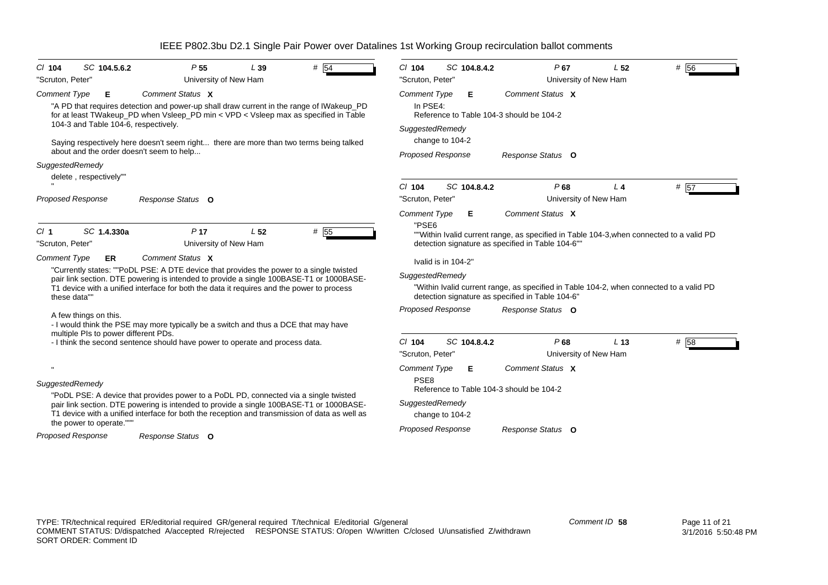| $CI$ 104                            | SC 104.5.6.2                         | P <sub>55</sub>                                                                                                                                                                                                                                                                                                                                                                            | L39             | $#$ 54 | $Cl$ 104                                                                               |                     | SC 104.8.4.2 | $P$ 67                                                                                                                                                           | L <sub>52</sub> | $#$ 56 |
|-------------------------------------|--------------------------------------|--------------------------------------------------------------------------------------------------------------------------------------------------------------------------------------------------------------------------------------------------------------------------------------------------------------------------------------------------------------------------------------------|-----------------|--------|----------------------------------------------------------------------------------------|---------------------|--------------|------------------------------------------------------------------------------------------------------------------------------------------------------------------|-----------------|--------|
| "Scruton, Peter"                    |                                      | University of New Ham                                                                                                                                                                                                                                                                                                                                                                      |                 |        | "Scruton, Peter"                                                                       |                     |              | University of New Ham                                                                                                                                            |                 |        |
| <b>Comment Type</b>                 | Е                                    | Comment Status X                                                                                                                                                                                                                                                                                                                                                                           |                 |        | <b>Comment Type</b>                                                                    |                     | Е            | Comment Status X                                                                                                                                                 |                 |        |
|                                     |                                      | "A PD that requires detection and power-up shall draw current in the range of IWakeup_PD<br>for at least TWakeup_PD when Vsleep_PD min < VPD < Vsleep max as specified in Table                                                                                                                                                                                                            |                 |        | In PSE4:                                                                               |                     |              | Reference to Table 104-3 should be 104-2                                                                                                                         |                 |        |
|                                     | 104-3 and Table 104-6, respectively. |                                                                                                                                                                                                                                                                                                                                                                                            |                 |        | SuggestedRemedy                                                                        |                     |              |                                                                                                                                                                  |                 |        |
|                                     |                                      | Saying respectively here doesn't seem right there are more than two terms being talked<br>about and the order doesn't seem to help                                                                                                                                                                                                                                                         |                 |        |                                                                                        | change to 104-2     |              |                                                                                                                                                                  |                 |        |
| SuggestedRemedy                     | delete, respectively""               |                                                                                                                                                                                                                                                                                                                                                                                            |                 |        | <b>Proposed Response</b>                                                               |                     |              | Response Status O                                                                                                                                                |                 |        |
| <b>Proposed Response</b>            |                                      | Response Status O                                                                                                                                                                                                                                                                                                                                                                          |                 |        | $Cl$ 104<br>"Scruton, Peter"                                                           |                     | SC 104.8.4.2 | P68<br>University of New Ham                                                                                                                                     | $L_4$           | # 57   |
|                                     |                                      |                                                                                                                                                                                                                                                                                                                                                                                            |                 |        | <b>Comment Type</b>                                                                    |                     | Е            | Comment Status X                                                                                                                                                 |                 |        |
| Cl <sub>1</sub><br>"Scruton, Peter" | SC 1.4.330a                          | P <sub>17</sub><br>University of New Ham                                                                                                                                                                                                                                                                                                                                                   | L <sub>52</sub> | # 55   | "PSE6                                                                                  |                     |              | ""Within Ivalid current range, as specified in Table 104-3, when connected to a valid PD<br>detection signature as specified in Table 104-6""                    |                 |        |
| <b>Comment Type</b><br>these data"" | <b>ER</b><br>A few things on this.   | Comment Status X<br>"Currently states: ""PoDL PSE: A DTE device that provides the power to a single twisted<br>pair link section. DTE powering is intended to provide a single 100BASE-T1 or 1000BASE-<br>T1 device with a unified interface for both the data it requires and the power to process<br>- I would think the PSE may more typically be a switch and thus a DCE that may have |                 |        | SuggestedRemedy<br><b>Proposed Response</b>                                            | Ivalid is in 104-2" |              | "Within Ivalid current range, as specified in Table 104-2, when connected to a valid PD<br>detection signature as specified in Table 104-6"<br>Response Status O |                 |        |
|                                     | multiple PIs to power different PDs. |                                                                                                                                                                                                                                                                                                                                                                                            |                 |        |                                                                                        |                     |              |                                                                                                                                                                  |                 |        |
|                                     |                                      | - I think the second sentence should have power to operate and process data.                                                                                                                                                                                                                                                                                                               |                 |        | $CI$ 104<br>"Scruton, Peter"                                                           |                     | SC 104.8.4.2 | P68<br>University of New Ham                                                                                                                                     | L <sub>13</sub> | # 58   |
| SuggestedRemedy                     | the power to operate."""             | "PoDL PSE: A device that provides power to a PoDL PD, connected via a single twisted<br>pair link section. DTE powering is intended to provide a single 100BASE-T1 or 1000BASE-<br>T1 device with a unified interface for both the reception and transmission of data as well as                                                                                                           |                 |        | <b>Comment Type</b><br>PSE <sub>8</sub><br>SuggestedRemedy<br><b>Proposed Response</b> | change to 104-2     | Е            | Comment Status X<br>Reference to Table 104-3 should be 104-2<br>Response Status O                                                                                |                 |        |
| <b>Proposed Response</b>            |                                      | Response Status O                                                                                                                                                                                                                                                                                                                                                                          |                 |        |                                                                                        |                     |              |                                                                                                                                                                  |                 |        |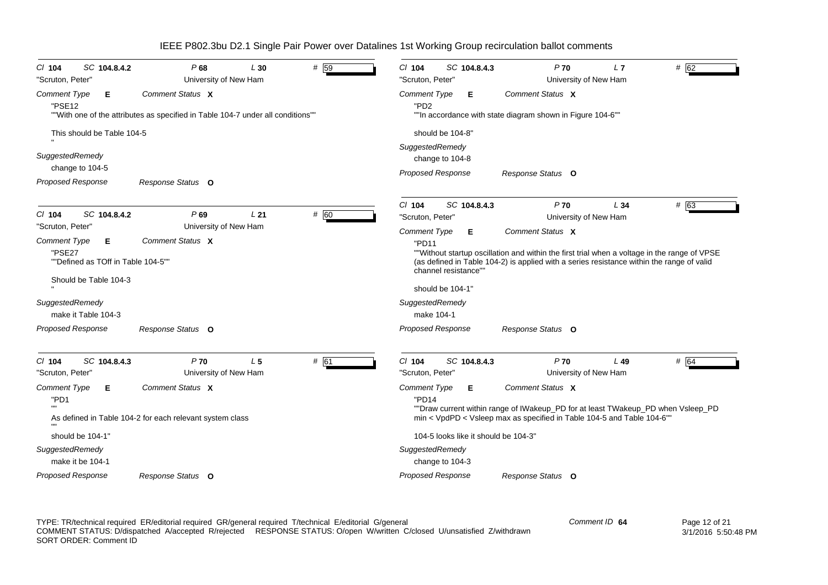| SC 104.8.4.2<br>$CI$ 104                                                                   | P68                                                                                                 | L30            | # 59 | $Cl$ 104<br>SC 104.8.4.3                                               | $P$ 70                                                                                                                                                                                                        | L7     | # 62 |
|--------------------------------------------------------------------------------------------|-----------------------------------------------------------------------------------------------------|----------------|------|------------------------------------------------------------------------|---------------------------------------------------------------------------------------------------------------------------------------------------------------------------------------------------------------|--------|------|
| "Scruton, Peter"                                                                           | University of New Ham                                                                               |                |      | "Scruton, Peter'                                                       | University of New Ham                                                                                                                                                                                         |        |      |
| <b>Comment Type</b><br>Е.<br>"PSE12                                                        | Comment Status X<br>""With one of the attributes as specified in Table 104-7 under all conditions"" |                |      | Comment Type<br>Е<br>"PD <sub>2</sub>                                  | Comment Status X<br>""In accordance with state diagram shown in Figure 104-6""                                                                                                                                |        |      |
| This should be Table 104-5                                                                 |                                                                                                     |                |      | should be 104-8"                                                       |                                                                                                                                                                                                               |        |      |
| SuggestedRemedy<br>change to 104-5<br><b>Proposed Response</b>                             | Response Status O                                                                                   |                |      | SuggestedRemedy<br>change to 104-8<br><b>Proposed Response</b>         | Response Status O                                                                                                                                                                                             |        |      |
| $Cl$ 104<br>SC 104.8.4.2<br>"Scruton, Peter"                                               | P69<br>University of New Ham                                                                        | L21            | # 60 | SC 104.8.4.3<br>$CI$ 104<br>"Scruton, Peter'                           | P <sub>70</sub><br>University of New Ham                                                                                                                                                                      | L34    | # 63 |
| Comment Type<br>Е<br>"PSE27<br>""Defined as TOff in Table 104-5""<br>Should be Table 104-3 | Comment Status X                                                                                    |                |      | Comment Type<br>Е<br>"PD11<br>channel resistance""<br>should be 104-1" | Comment Status X<br>""Without startup oscillation and within the first trial when a voltage in the range of VPSE<br>(as defined in Table 104-2) is applied with a series resistance within the range of valid |        |      |
| SuggestedRemedy<br>make it Table 104-3                                                     |                                                                                                     |                |      | SuggestedRemedy<br>make 104-1                                          |                                                                                                                                                                                                               |        |      |
| Proposed Response                                                                          | Response Status O                                                                                   |                |      | Proposed Response                                                      | Response Status O                                                                                                                                                                                             |        |      |
| CI 104<br>SC 104.8.4.3<br>"Scruton, Peter"                                                 | $P$ 70<br>University of New Ham                                                                     | L <sub>5</sub> | # 61 | $Cl$ 104<br>SC 104.8.4.3<br>"Scruton, Peter'                           | $P$ 70<br>University of New Ham                                                                                                                                                                               | $L$ 49 | # 64 |
| Comment Type<br>Е<br>"PD1                                                                  | Comment Status X<br>As defined in Table 104-2 for each relevant system class                        |                |      | Comment Type<br>Е<br>"PD14                                             | Comment Status X<br>""Draw current within range of IWakeup_PD for at least TWakeup_PD when Vsleep_PD<br>min < VpdPD < Vsleep max as specified in Table 104-5 and Table 104-6"                                 |        |      |
| should be 104-1"                                                                           |                                                                                                     |                |      | 104-5 looks like it should be 104-3"                                   |                                                                                                                                                                                                               |        |      |
| SuggestedRemedy<br>make it be 104-1                                                        |                                                                                                     |                |      | SuggestedRemedy<br>change to 104-3                                     |                                                                                                                                                                                                               |        |      |
| <b>Proposed Response</b>                                                                   | Response Status O                                                                                   |                |      | <b>Proposed Response</b>                                               | Response Status O                                                                                                                                                                                             |        |      |

TYPE: TR/technical required ER/editorial required GR/general required T/technical E/editorial G/general COMMENT STATUS: D/dispatched A/accepted R/rejected RESPONSE STATUS: O/open W/written C/closed U/unsatisfied Z/withdrawn SORT ORDER: Comment ID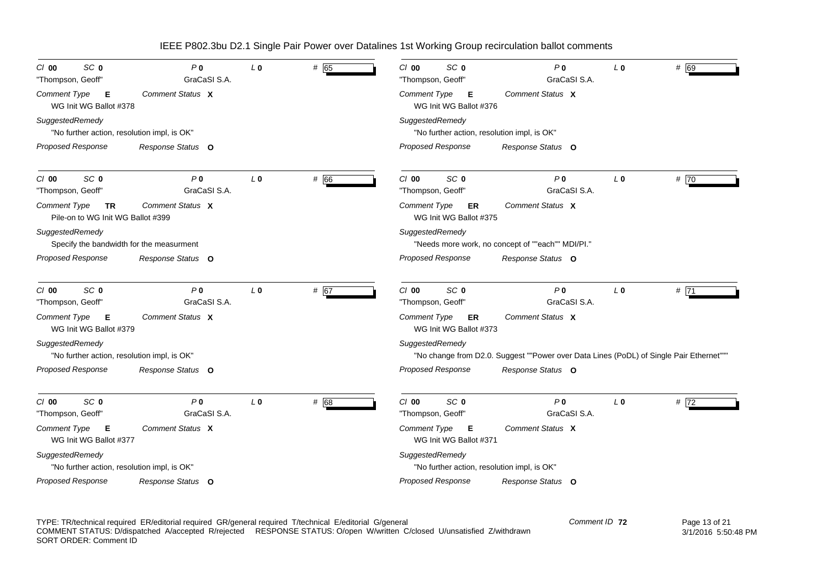| SC <sub>0</sub><br>$CI$ 00<br>"Thompson, Geoff"                | P <sub>0</sub><br>GraCaSI S.A. | L <sub>0</sub> | # 65 | SC <sub>0</sub><br>$Cl$ 00<br>"Thompson, Geoff"                | P <sub>0</sub><br>GraCaSI S.A.                                                          | L <sub>0</sub> | # 69   |
|----------------------------------------------------------------|--------------------------------|----------------|------|----------------------------------------------------------------|-----------------------------------------------------------------------------------------|----------------|--------|
| <b>Comment Type</b><br>Е<br>WG Init WG Ballot #378             | Comment Status X               |                |      | <b>Comment Type</b><br>Е<br>WG Init WG Ballot #376             | Comment Status X                                                                        |                |        |
| SuggestedRemedy<br>"No further action, resolution impl, is OK" |                                |                |      | SuggestedRemedy<br>"No further action, resolution impl, is OK" |                                                                                         |                |        |
| <b>Proposed Response</b>                                       | Response Status O              |                |      | <b>Proposed Response</b>                                       | Response Status O                                                                       |                |        |
| SC <sub>0</sub><br>$Cl$ 00<br>"Thompson, Geoff"                | P <sub>0</sub><br>GraCaSI S.A. | $L_0$          | # 66 | SC <sub>0</sub><br>$C/O$ 00<br>"Thompson, Geoff"               | P <sub>0</sub><br>GraCaSI S.A.                                                          | L <sub>0</sub> | # $70$ |
| Comment Type<br>TR<br>Pile-on to WG Init WG Ballot #399        | Comment Status X               |                |      | Comment Type<br>ER<br>WG Init WG Ballot #375                   | Comment Status X                                                                        |                |        |
| SuggestedRemedy<br>Specify the bandwidth for the measurment    |                                |                |      | SuggestedRemedy                                                | "Needs more work, no concept of ""each"" MDI/PI."                                       |                |        |
| <b>Proposed Response</b>                                       | Response Status O              |                |      | <b>Proposed Response</b>                                       | Response Status O                                                                       |                |        |
| SC <sub>0</sub><br>$Cl$ 00<br>"Thompson, Geoff"                | P <sub>0</sub><br>GraCaSI S.A. | L <sub>0</sub> | # 67 | SC <sub>0</sub><br>$Cl$ 00<br>"Thompson, Geoff"                | P <sub>0</sub><br>GraCaSI S.A.                                                          | L <sub>0</sub> | #71    |
| <b>Comment Type</b><br>Е<br>WG Init WG Ballot #379             | Comment Status X               |                |      | <b>Comment Type</b><br><b>ER</b><br>WG Init WG Ballot #373     | Comment Status X                                                                        |                |        |
| SuggestedRemedy<br>"No further action, resolution impl, is OK" |                                |                |      | SuggestedRemedy                                                | "No change from D2.0. Suggest ""Power over Data Lines (PoDL) of Single Pair Ethernet""" |                |        |
| <b>Proposed Response</b>                                       | Response Status O              |                |      | <b>Proposed Response</b>                                       | Response Status O                                                                       |                |        |
| SC <sub>0</sub><br>$Cl$ 00<br>"Thompson, Geoff"                | P <sub>0</sub><br>GraCaSI S.A. | L <sub>0</sub> | # 68 | SC <sub>0</sub><br>$Cl$ 00<br>"Thompson, Geoff"                | P <sub>0</sub><br>GraCaSI S.A.                                                          | L <sub>0</sub> | # 72   |
| <b>Comment Type</b><br>Е<br>WG Init WG Ballot #377             | Comment Status X               |                |      | Comment Type<br>Е<br>WG Init WG Ballot #371                    | Comment Status X                                                                        |                |        |
| SuggestedRemedy<br>"No further action, resolution impl, is OK" |                                |                |      | SuggestedRemedy<br>"No further action, resolution impl, is OK" |                                                                                         |                |        |
| <b>Proposed Response</b>                                       | Response Status O              |                |      | <b>Proposed Response</b>                                       | Response Status O                                                                       |                |        |

TYPE: TR/technical required ER/editorial required GR/general required T/technical E/editorial G/general COMMENT STATUS: D/dispatched A/accepted R/rejected RESPONSE STATUS: O/open W/written C/closed U/unsatisfied Z/withdrawn SORT ORDER: Comment ID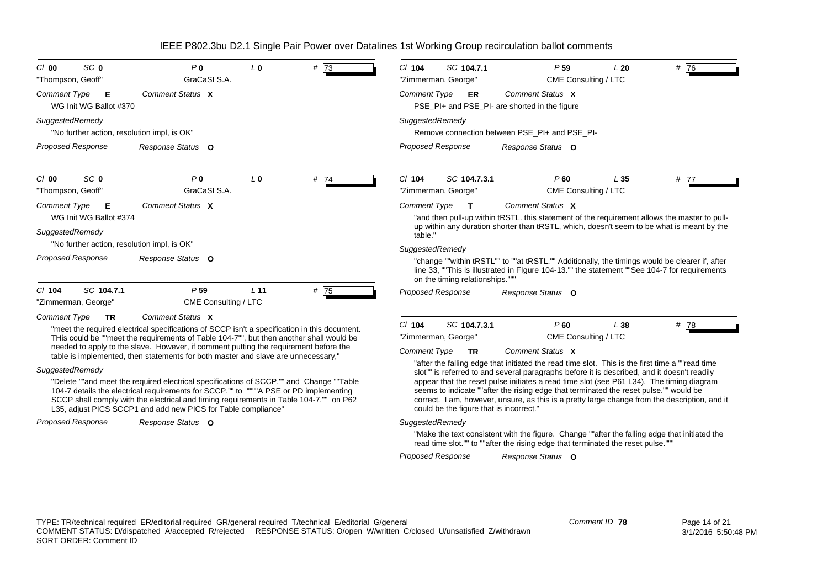| SC <sub>0</sub><br>$Cl$ 00<br>"Thompson, Geoff"                       | P <sub>0</sub><br>GraCaSI S.A.                                                                                                                                                                                                                                                                                                                                                                                                                                                                                                                                                                                                                                                                                                         | $L_0$           | # 73   | SC 104.7.1<br>$Cl$ 104<br>"Zimmerman, George"                                                                                                                                                                                                                                                                                                                                                                                                                                                                                                                                                                           | P <sub>59</sub><br>CME Consulting / LTC         | L20             | # $\overline{76}$ |
|-----------------------------------------------------------------------|----------------------------------------------------------------------------------------------------------------------------------------------------------------------------------------------------------------------------------------------------------------------------------------------------------------------------------------------------------------------------------------------------------------------------------------------------------------------------------------------------------------------------------------------------------------------------------------------------------------------------------------------------------------------------------------------------------------------------------------|-----------------|--------|-------------------------------------------------------------------------------------------------------------------------------------------------------------------------------------------------------------------------------------------------------------------------------------------------------------------------------------------------------------------------------------------------------------------------------------------------------------------------------------------------------------------------------------------------------------------------------------------------------------------------|-------------------------------------------------|-----------------|-------------------|
| <b>Comment Type</b><br>E<br>WG Init WG Ballot #370                    | Comment Status X                                                                                                                                                                                                                                                                                                                                                                                                                                                                                                                                                                                                                                                                                                                       |                 |        | <b>Comment Type</b><br><b>ER</b><br>PSE PI+ and PSE PI- are shorted in the figure                                                                                                                                                                                                                                                                                                                                                                                                                                                                                                                                       | Comment Status X                                |                 |                   |
| SuggestedRemedy<br>"No further action, resolution impl, is OK"        |                                                                                                                                                                                                                                                                                                                                                                                                                                                                                                                                                                                                                                                                                                                                        |                 |        | SuggestedRemedy<br>Remove connection between PSE PI+ and PSE PI-                                                                                                                                                                                                                                                                                                                                                                                                                                                                                                                                                        |                                                 |                 |                   |
| <b>Proposed Response</b>                                              | Response Status O                                                                                                                                                                                                                                                                                                                                                                                                                                                                                                                                                                                                                                                                                                                      |                 |        | <b>Proposed Response</b>                                                                                                                                                                                                                                                                                                                                                                                                                                                                                                                                                                                                | Response Status O                               |                 |                   |
| SC <sub>0</sub><br>$Cl$ 00<br>"Thompson, Geoff"                       | P <sub>0</sub><br>GraCaSI S.A.                                                                                                                                                                                                                                                                                                                                                                                                                                                                                                                                                                                                                                                                                                         | L <sub>0</sub>  | # $74$ | $Cl$ 104<br>SC 104.7.3.1<br>"Zimmerman, George"                                                                                                                                                                                                                                                                                                                                                                                                                                                                                                                                                                         | $P$ 60<br>CME Consulting / LTC                  | L <sub>35</sub> | # $\overline{77}$ |
| <b>Comment Type</b><br>E<br>WG Init WG Ballot #374<br>SuggestedRemedy | Comment Status X                                                                                                                                                                                                                                                                                                                                                                                                                                                                                                                                                                                                                                                                                                                       |                 |        | Comment Type<br>т<br>"and then pull-up within tRSTL. this statement of the requirement allows the master to pull-<br>up within any duration shorter than tRSTL, which, doesn't seem to be what is meant by the                                                                                                                                                                                                                                                                                                                                                                                                          | Comment Status X                                |                 |                   |
| "No further action, resolution impl, is OK"                           |                                                                                                                                                                                                                                                                                                                                                                                                                                                                                                                                                                                                                                                                                                                                        |                 |        | table."                                                                                                                                                                                                                                                                                                                                                                                                                                                                                                                                                                                                                 |                                                 |                 |                   |
| <b>Proposed Response</b>                                              | Response Status O                                                                                                                                                                                                                                                                                                                                                                                                                                                                                                                                                                                                                                                                                                                      |                 |        | SuggestedRemedy<br>"change ""within tRSTL"" to ""at tRSTL."" Additionally, the timings would be clearer if, after<br>line 33, ""This is illustrated in Flgure 104-13."" the statement ""See 104-7 for requirements<br>on the timing relationships.""                                                                                                                                                                                                                                                                                                                                                                    |                                                 |                 |                   |
| SC 104.7.1<br>$CI$ 104<br>"Zimmerman, George"                         | P <sub>59</sub><br>CME Consulting / LTC                                                                                                                                                                                                                                                                                                                                                                                                                                                                                                                                                                                                                                                                                                | L <sub>11</sub> | #75    | <b>Proposed Response</b>                                                                                                                                                                                                                                                                                                                                                                                                                                                                                                                                                                                                | Response Status O                               |                 |                   |
| <b>Comment Type</b><br><b>TR</b><br>SuggestedRemedy                   | Comment Status X<br>"meet the required electrical specifications of SCCP isn't a specification in this document.<br>THis could be ""meet the requirements of Table 104-7"", but then another shall would be<br>needed to apply to the slave. However, if comment putting the requirement before the<br>table is implemented, then statements for both master and slave are unnecessary,"<br>"Delete ""and meet the required electrical specifications of SCCP."" and Change ""Table<br>104-7 details the electrical requirements for SCCP."" to """A PSE or PD implementing<br>SCCP shall comply with the electrical and timing requirements in Table 104-7."" on P62<br>L35, adjust PICS SCCP1 and add new PICS for Table compliance" |                 |        | $Cl$ 104<br>SC 104.7.3.1<br>"Zimmerman, George"<br><b>Comment Type</b><br><b>TR</b><br>"after the falling edge that initiated the read time slot. This is the first time a ""read time"<br>slot"" is referred to and several paragraphs before it is described, and it doesn't readily<br>appear that the reset pulse initiates a read time slot (see P61 L34). The timing diagram<br>seems to indicate ""after the rising edge that terminated the reset pulse."" would be<br>correct. I am, however, unsure, as this is a pretty large change from the description, and it<br>could be the figure that is incorrect." | P60<br>CME Consulting / LTC<br>Comment Status X | L 38            | # $\overline{78}$ |
| <b>Proposed Response</b>                                              | Response Status O                                                                                                                                                                                                                                                                                                                                                                                                                                                                                                                                                                                                                                                                                                                      |                 |        | SuggestedRemedy                                                                                                                                                                                                                                                                                                                                                                                                                                                                                                                                                                                                         |                                                 |                 |                   |

"Make the text consistent with the figure. Change ""after the falling edge that initiated the read time slot."" to ""after the rising edge that terminated the reset pulse."""

*Proposed Response Response Status* **O**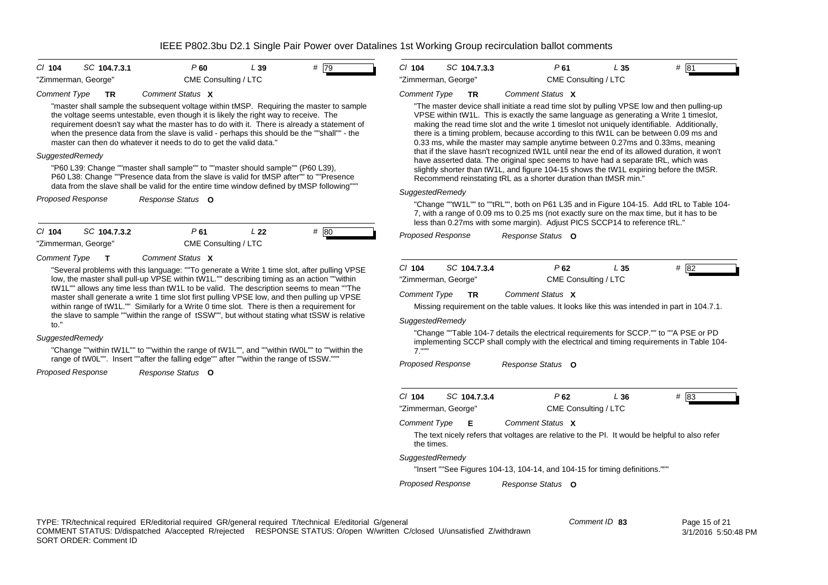| C/ 104              | SC 104.7.3.1 | P 60                 | L 39 | # 79 |
|---------------------|--------------|----------------------|------|------|
| "Zimmerman, George" |              | CME Consulting / LTC |      |      |

#### *Comment Type* **TR** *Comment Status***X**

"master shall sample the subsequent voltage within tMSP. Requiring the master to sample the voltage seems untestable, even though it is likely the right way to receive. The requirement doesn't say what the master has to do with it. There is already a statement of when the presence data from the slave is valid - perhaps this should be the ""shall"" - the master can then do whatever it needs to do to get the valid data."

### *SuggestedRemedy*

"P60 L39: Change ""master shall sample"" to ""master should sample"" (P60 L39), P60 L38: Change ""Presence data from the slave is valid for tMSP after"" to ""Presence data from the slave shall be valid for the entire time window defined by tMSP following"""

*Proposed Response Response Status* **O**

*Cl* **104** *SC* **104.7.3.2** "Zimmerman, George" CME Consulting / LTC

*P*

**61** *L* **22** *#* 80

*Comment Type* **T***Comment Status***X**

"Several problems with this language: ""To generate a Write 1 time slot, after pulling VPSE low, the master shall pull-up VPSE within tW1L."" describing timing as an action ""within tW1L"" allows any time less than tW1L to be valid. The description seems to mean ""The master shall generate a write 1 time slot first pulling VPSE low, and then pulling up VPSE within range of tW1L."" Similarly for a Write 0 time slot. There is then a requirement for the slave to sample ""within the range of tSSW"", but without stating what tSSW is relative to."

### *SuggestedRemedy*

"Change ""within tW1L"" to ""within the range of tW1L"", and ""within tW0L"" to ""within the range of tW0L"". Insert ""after the falling edge"" after ""within the range of tSSW."""

*Proposed Response Response Status* **O**

| $Cl$ 104 | SC 104.7.3.3        | P 61                 | L 35 | # 81 |  |
|----------|---------------------|----------------------|------|------|--|
|          | "Zimmerman, George" | CME Consulting / LTC |      |      |  |

#### *Comment Type* **TR** *Comment Status***X**

"The master device shall initiate a read time slot by pulling VPSE low and then pulling-up VPSE within tW1L. This is exactly the same language as generating a Write 1 timeslot, making the read time slot and the write 1 timeslot not uniquely identifiable. Additionally, there is a timing problem, because according to this tW1L can be between 0.09 ms and 0.33 ms, while the master may sample anytime between 0.27ms and 0.33ms, meaning that if the slave hasn't recognized tW1L until near the end of its allowed duration, it won't have asserted data. The original spec seems to have had a separate tRL, which was slightly shorter than tW1L, and figure 104-15 shows the tW1L expiring before the tMSR. Recommend reinstating tRL as a shorter duration than tMSR min."

### *SuggestedRemedy*

"Change ""tW1L"" to ""tRL"", both on P61 L35 and in Figure 104-15. Add tRL to Table 104- 7, with a range of 0.09 ms to 0.25 ms (not exactly sure on the max time, but it has to be less than 0.27ms with some margin). Adjust PICS SCCP14 to reference tRL."

*Proposed Response Response Status* **O**

| C/104               | SC 104.7.3.4 | P 62                 | L 35 | # 82 |  |
|---------------------|--------------|----------------------|------|------|--|
| "Zimmerman, George" |              | CME Consulting / LTC |      |      |  |

*Comment Type* **TR** *Comment Status***X**

Missing requirement on the table values. It looks like this was intended in part in 104.7.1.

#### *SuggestedRemedy*

"Change ""Table 104-7 details the electrical requirements for SCCP."" to ""A PSE or PD implementing SCCP shall comply with the electrical and timing requirements in Table 104- 7."""

*Proposed Response Response Status* **O**

| $Cl$ 104                                                                                                     | SC 104.7.3.4                                 | P 62                                                                        | L 36 | #<br>183 |  |  |  |  |
|--------------------------------------------------------------------------------------------------------------|----------------------------------------------|-----------------------------------------------------------------------------|------|----------|--|--|--|--|
|                                                                                                              |                                              |                                                                             |      |          |  |  |  |  |
|                                                                                                              | "Zimmerman, George"                          | CME Consulting / LTC                                                        |      |          |  |  |  |  |
|                                                                                                              | Comment Status X<br><b>Comment Type</b><br>Е |                                                                             |      |          |  |  |  |  |
| The text nicely refers that voltages are relative to the Pl. It would be helpful to also refer<br>the times. |                                              |                                                                             |      |          |  |  |  |  |
| SuggestedRemedy                                                                                              |                                              |                                                                             |      |          |  |  |  |  |
|                                                                                                              |                                              | "Insert ""See Figures 104-13, 104-14, and 104-15 for timing definitions.""" |      |          |  |  |  |  |

*Proposed Response Response Status* **O**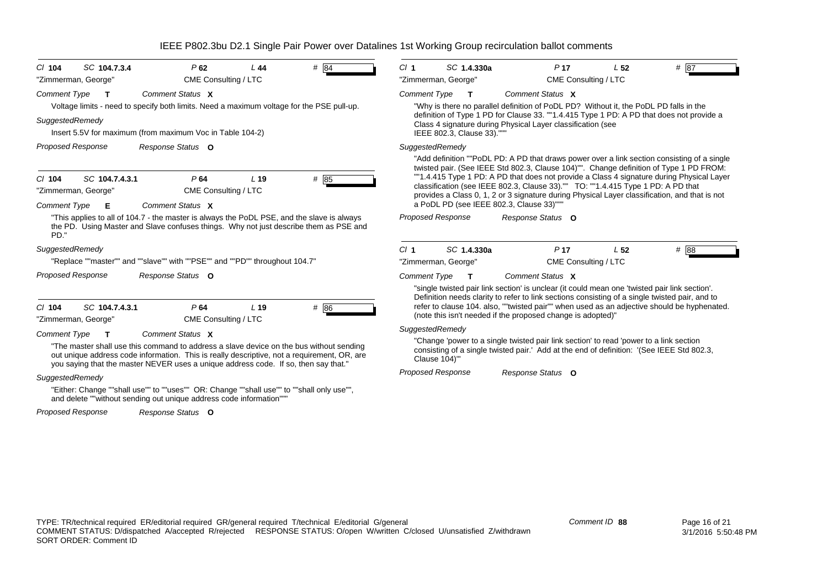| $#$ 84<br>SC 1.4.330a<br>$Cl$ 104<br>SC 104.7.3.4<br>P62<br>CI <sub>1</sub><br>L44<br>"Zimmerman, George"<br>CME Consulting / LTC<br>"Zimmerman, George"<br>Comment Status X<br><b>Comment Type</b><br>$\mathbf{T}$<br>$\mathbf{T}$<br>Voltage limits - need to specify both limits. Need a maximum voltage for the PSE pull-up.<br>Insert 5.5V for maximum (from maximum Voc in Table 104-2)<br>IEEE 802.3, Clause 33).""<br><b>Proposed Response</b><br>SuggestedRemedy<br>Response Status O<br>P64<br>SC 104.7.4.3.1<br>L <sub>19</sub><br>$#$ 85<br>"Zimmerman, George"<br>CME Consulting / LTC<br>a PoDL PD (see IEEE 802.3, Clause 33)""<br>Comment Status X<br><b>Comment Type</b><br>Е<br>"This applies to all of 104.7 - the master is always the PoDL PSE, and the slave is always<br><b>Proposed Response</b><br>the PD. Using Master and Slave confuses things. Why not just describe them as PSE and<br>PD."<br>Cl <sub>1</sub><br>SC 1.4.330a<br>"Replace ""master"" and ""slave"" with ""PSE"" and ""PD"" throughout 104.7"<br>"Zimmerman, George"<br><b>Proposed Response</b><br>Response Status O<br><b>Comment Type</b><br>$\mathbf T$<br># 86<br>$Cl$ 104<br>SC 104.7.4.3.1<br>P64<br>L <sub>19</sub><br>CME Consulting / LTC<br>"Zimmerman, George"<br>SuggestedRemedy<br>Comment Status X<br><b>Comment Type</b><br>т<br>"The master shall use this command to address a slave device on the bus without sending<br>out unique address code information. This is really descriptive, not a requirement, OR, are<br>Clause 104)"<br>you saying that the master NEVER uses a unique address code. If so, then say that."<br><b>Proposed Response</b><br>SuggestedRemedy |                                                                                                                                                                                                                                                              |                                                                                                                                                                          |                 |                                                                                                                                                                                                                                                                                                                                                                                     |  |
|--------------------------------------------------------------------------------------------------------------------------------------------------------------------------------------------------------------------------------------------------------------------------------------------------------------------------------------------------------------------------------------------------------------------------------------------------------------------------------------------------------------------------------------------------------------------------------------------------------------------------------------------------------------------------------------------------------------------------------------------------------------------------------------------------------------------------------------------------------------------------------------------------------------------------------------------------------------------------------------------------------------------------------------------------------------------------------------------------------------------------------------------------------------------------------------------------------------------------------------------------------------------------------------------------------------------------------------------------------------------------------------------------------------------------------------------------------------------------------------------------------------------------------------------------------------------------------------------------------------------------------------------------------------------------------------------|--------------------------------------------------------------------------------------------------------------------------------------------------------------------------------------------------------------------------------------------------------------|--------------------------------------------------------------------------------------------------------------------------------------------------------------------------|-----------------|-------------------------------------------------------------------------------------------------------------------------------------------------------------------------------------------------------------------------------------------------------------------------------------------------------------------------------------------------------------------------------------|--|
| <b>Comment Type</b><br>SuggestedRemedy<br>$Cl$ 104<br>SuggestedRemedy                                                                                                                                                                                                                                                                                                                                                                                                                                                                                                                                                                                                                                                                                                                                                                                                                                                                                                                                                                                                                                                                                                                                                                                                                                                                                                                                                                                                                                                                                                                                                                                                                      |                                                                                                                                                                                                                                                              | P <sub>17</sub><br>CME Consulting / LTC                                                                                                                                  | L <sub>52</sub> | $#$ 87                                                                                                                                                                                                                                                                                                                                                                              |  |
|                                                                                                                                                                                                                                                                                                                                                                                                                                                                                                                                                                                                                                                                                                                                                                                                                                                                                                                                                                                                                                                                                                                                                                                                                                                                                                                                                                                                                                                                                                                                                                                                                                                                                            |                                                                                                                                                                                                                                                              | Comment Status X<br>"Why is there no parallel definition of PoDL PD? Without it, the PoDL PD falls in the<br>Class 4 signature during Physical Layer classification (see |                 | definition of Type 1 PD for Clause 33. ""1.4.415 Type 1 PD: A PD that does not provide a                                                                                                                                                                                                                                                                                            |  |
|                                                                                                                                                                                                                                                                                                                                                                                                                                                                                                                                                                                                                                                                                                                                                                                                                                                                                                                                                                                                                                                                                                                                                                                                                                                                                                                                                                                                                                                                                                                                                                                                                                                                                            |                                                                                                                                                                                                                                                              |                                                                                                                                                                          |                 |                                                                                                                                                                                                                                                                                                                                                                                     |  |
|                                                                                                                                                                                                                                                                                                                                                                                                                                                                                                                                                                                                                                                                                                                                                                                                                                                                                                                                                                                                                                                                                                                                                                                                                                                                                                                                                                                                                                                                                                                                                                                                                                                                                            |                                                                                                                                                                                                                                                              | classification (see IEEE 802.3, Clause 33)."" TO: ""1.4.415 Type 1 PD: A PD that                                                                                         |                 | "Add definition ""PoDL PD: A PD that draws power over a link section consisting of a single<br>twisted pair. (See IEEE Std 802.3, Clause 104)"". Change definition of Type 1 PD FROM:<br>""1.4.415 Type 1 PD: A PD that does not provide a Class 4 signature during Physical Layer<br>provides a Class 0, 1, 2 or 3 signature during Physical Layer classification, and that is not |  |
|                                                                                                                                                                                                                                                                                                                                                                                                                                                                                                                                                                                                                                                                                                                                                                                                                                                                                                                                                                                                                                                                                                                                                                                                                                                                                                                                                                                                                                                                                                                                                                                                                                                                                            |                                                                                                                                                                                                                                                              | Response Status O                                                                                                                                                        |                 |                                                                                                                                                                                                                                                                                                                                                                                     |  |
|                                                                                                                                                                                                                                                                                                                                                                                                                                                                                                                                                                                                                                                                                                                                                                                                                                                                                                                                                                                                                                                                                                                                                                                                                                                                                                                                                                                                                                                                                                                                                                                                                                                                                            |                                                                                                                                                                                                                                                              | P <sub>17</sub><br>CME Consulting / LTC                                                                                                                                  | L <sub>52</sub> | # 88                                                                                                                                                                                                                                                                                                                                                                                |  |
|                                                                                                                                                                                                                                                                                                                                                                                                                                                                                                                                                                                                                                                                                                                                                                                                                                                                                                                                                                                                                                                                                                                                                                                                                                                                                                                                                                                                                                                                                                                                                                                                                                                                                            |                                                                                                                                                                                                                                                              | Comment Status X<br>"single twisted pair link section' is unclear (it could mean one 'twisted pair link section'.                                                        |                 |                                                                                                                                                                                                                                                                                                                                                                                     |  |
|                                                                                                                                                                                                                                                                                                                                                                                                                                                                                                                                                                                                                                                                                                                                                                                                                                                                                                                                                                                                                                                                                                                                                                                                                                                                                                                                                                                                                                                                                                                                                                                                                                                                                            | Definition needs clarity to refer to link sections consisting of a single twisted pair, and to<br>refer to clause 104. also, ""twisted pair"" when used as an adjective should be hyphenated.<br>(note this isn't needed if the proposed change is adopted)" |                                                                                                                                                                          |                 |                                                                                                                                                                                                                                                                                                                                                                                     |  |
|                                                                                                                                                                                                                                                                                                                                                                                                                                                                                                                                                                                                                                                                                                                                                                                                                                                                                                                                                                                                                                                                                                                                                                                                                                                                                                                                                                                                                                                                                                                                                                                                                                                                                            |                                                                                                                                                                                                                                                              |                                                                                                                                                                          |                 |                                                                                                                                                                                                                                                                                                                                                                                     |  |
|                                                                                                                                                                                                                                                                                                                                                                                                                                                                                                                                                                                                                                                                                                                                                                                                                                                                                                                                                                                                                                                                                                                                                                                                                                                                                                                                                                                                                                                                                                                                                                                                                                                                                            | "Change 'power to a single twisted pair link section' to read 'power to a link section<br>consisting of a single twisted pair.' Add at the end of definition: '(See IEEE Std 802.3,                                                                          |                                                                                                                                                                          |                 |                                                                                                                                                                                                                                                                                                                                                                                     |  |
|                                                                                                                                                                                                                                                                                                                                                                                                                                                                                                                                                                                                                                                                                                                                                                                                                                                                                                                                                                                                                                                                                                                                                                                                                                                                                                                                                                                                                                                                                                                                                                                                                                                                                            |                                                                                                                                                                                                                                                              | Response Status O                                                                                                                                                        |                 |                                                                                                                                                                                                                                                                                                                                                                                     |  |
| "Either: Change ""shall use"" to ""uses"" OR: Change ""shall use"" to ""shall only use"",<br>and delete ""without sending out unique address code information"""                                                                                                                                                                                                                                                                                                                                                                                                                                                                                                                                                                                                                                                                                                                                                                                                                                                                                                                                                                                                                                                                                                                                                                                                                                                                                                                                                                                                                                                                                                                           |                                                                                                                                                                                                                                                              |                                                                                                                                                                          |                 |                                                                                                                                                                                                                                                                                                                                                                                     |  |
| <b>Proposed Response</b><br>Response Status O                                                                                                                                                                                                                                                                                                                                                                                                                                                                                                                                                                                                                                                                                                                                                                                                                                                                                                                                                                                                                                                                                                                                                                                                                                                                                                                                                                                                                                                                                                                                                                                                                                              |                                                                                                                                                                                                                                                              |                                                                                                                                                                          |                 |                                                                                                                                                                                                                                                                                                                                                                                     |  |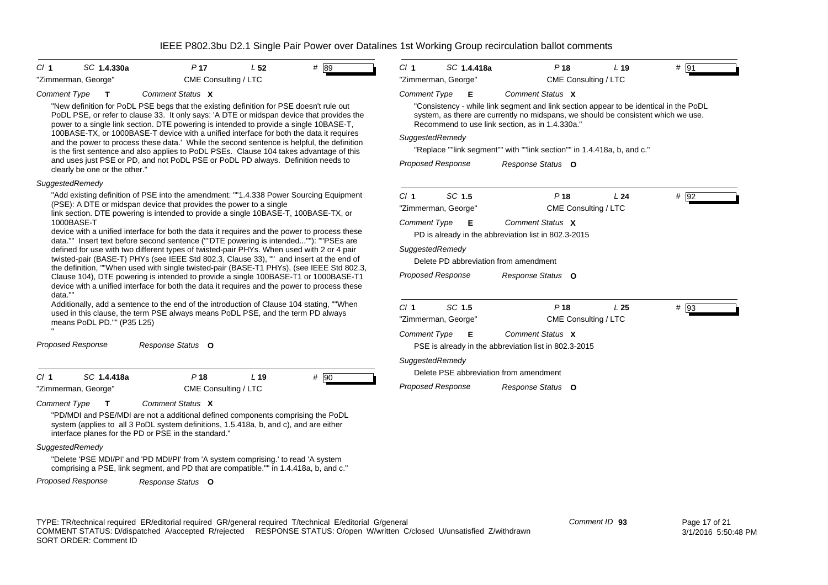| $CI$ 1<br>P <sub>17</sub><br># 89<br>SC 1.4.330a<br>L <sub>52</sub><br>"Zimmerman, George"                                                                                                                                                                                                                                                                                | $CI$ 1<br>SC 1.4.418a<br>P <sub>18</sub>                                                                                                                                                                                      | # 91<br>L <sub>19</sub>   |
|---------------------------------------------------------------------------------------------------------------------------------------------------------------------------------------------------------------------------------------------------------------------------------------------------------------------------------------------------------------------------|-------------------------------------------------------------------------------------------------------------------------------------------------------------------------------------------------------------------------------|---------------------------|
| CME Consulting / LTC                                                                                                                                                                                                                                                                                                                                                      | "Zimmerman, George"<br>CME Consulting / LTC                                                                                                                                                                                   |                           |
| <b>Comment Type</b><br>Comment Status X<br>т                                                                                                                                                                                                                                                                                                                              | <b>Comment Type</b><br>Comment Status X<br>Е                                                                                                                                                                                  |                           |
| "New definition for PoDL PSE begs that the existing definition for PSE doesn't rule out<br>PoDL PSE, or refer to clause 33. It only says: 'A DTE or midspan device that provides the<br>power to a single link section. DTE powering is intended to provide a single 10BASE-T,<br>100BASE-TX, or 1000BASE-T device with a unified interface for both the data it requires | "Consistency - while link segment and link section appear to be identical in the PoDL<br>system, as there are currently no midspans, we should be consistent which we use.<br>Recommend to use link section, as in 1.4.330a." |                           |
| and the power to process these data.' While the second sentence is helpful, the definition                                                                                                                                                                                                                                                                                | SuggestedRemedy                                                                                                                                                                                                               |                           |
| is the first sentence and also applies to PoDL PSEs. Clause 104 takes advantage of this                                                                                                                                                                                                                                                                                   | "Replace ""link segment"" with ""link section"" in 1.4.418a, b, and c."                                                                                                                                                       |                           |
| and uses just PSE or PD, and not PoDL PSE or PoDL PD always. Definition needs to<br>clearly be one or the other."                                                                                                                                                                                                                                                         | <b>Proposed Response</b><br>Response Status O                                                                                                                                                                                 |                           |
| SuggestedRemedy                                                                                                                                                                                                                                                                                                                                                           |                                                                                                                                                                                                                               |                           |
| "Add existing definition of PSE into the amendment: ""1.4.338 Power Sourcing Equipment                                                                                                                                                                                                                                                                                    | SC 1.5<br>Cl <sub>1</sub><br>P <sub>18</sub>                                                                                                                                                                                  | $#$ 92<br>L24             |
| (PSE): A DTE or midspan device that provides the power to a single                                                                                                                                                                                                                                                                                                        | "Zimmerman, George"<br>CME Consulting / LTC                                                                                                                                                                                   |                           |
| link section. DTE powering is intended to provide a single 10BASE-T, 100BASE-TX, or<br>1000BASE-T                                                                                                                                                                                                                                                                         | Comment Status X<br><b>Comment Type</b><br>Е                                                                                                                                                                                  |                           |
| device with a unified interface for both the data it requires and the power to process these<br>data."" Insert text before second sentence (""DTE powering is intended""): ""PSEs are                                                                                                                                                                                     | PD is already in the abbreviation list in 802.3-2015                                                                                                                                                                          |                           |
| defined for use with two different types of twisted-pair PHYs. When used with 2 or 4 pair                                                                                                                                                                                                                                                                                 | SuggestedRemedy                                                                                                                                                                                                               |                           |
| twisted-pair (BASE-T) PHYs (see IEEE Std 802.3, Clause 33), "" and insert at the end of                                                                                                                                                                                                                                                                                   | Delete PD abbreviation from amendment                                                                                                                                                                                         |                           |
| the definition, ""When used with single twisted-pair (BASE-T1 PHYs), (see IEEE Std 802.3,<br>Clause 104), DTE powering is intended to provide a single 100BASE-T1 or 1000BASE-T1                                                                                                                                                                                          | Proposed Response<br>Response Status O                                                                                                                                                                                        |                           |
| device with a unified interface for both the data it requires and the power to process these<br>data.""                                                                                                                                                                                                                                                                   |                                                                                                                                                                                                                               |                           |
| Additionally, add a sentence to the end of the introduction of Clause 104 stating, ""When                                                                                                                                                                                                                                                                                 | SC 1.5<br>Cl <sub>1</sub>                                                                                                                                                                                                     |                           |
| used in this clause, the term PSE always means PoDL PSE, and the term PD always                                                                                                                                                                                                                                                                                           | P <sub>18</sub>                                                                                                                                                                                                               | $#$ 93<br>L <sub>25</sub> |
| means PoDL PD."" (P35 L25)                                                                                                                                                                                                                                                                                                                                                | "Zimmerman, George"<br>CME Consulting / LTC                                                                                                                                                                                   |                           |
|                                                                                                                                                                                                                                                                                                                                                                           | Comment Status X<br><b>Comment Type</b><br>Е                                                                                                                                                                                  |                           |
| Proposed Response<br>Response Status O                                                                                                                                                                                                                                                                                                                                    | PSE is already in the abbreviation list in 802.3-2015                                                                                                                                                                         |                           |
|                                                                                                                                                                                                                                                                                                                                                                           | SuggestedRemedy                                                                                                                                                                                                               |                           |
| Cl <sub>1</sub><br>P <sub>18</sub><br>SC 1.4.418a<br>L <sub>19</sub>                                                                                                                                                                                                                                                                                                      | Delete PSE abbreviation from amendment                                                                                                                                                                                        |                           |
| # 90<br>"Zimmerman, George"<br>CME Consulting / LTC                                                                                                                                                                                                                                                                                                                       | <b>Proposed Response</b><br>Response Status O                                                                                                                                                                                 |                           |

*Comment Type* **T** *Comment Status* **X**

"PD/MDI and PSE/MDI are not a additional defined components comprising the PoDL system (applies to all 3 PoDL system definitions, 1.5.418a, b, and c), and are either interface planes for the PD or PSE in the standard."

### *SuggestedRemedy*

"Delete 'PSE MDI/PI' and 'PD MDI/PI' from 'A system comprising.' to read 'A system comprising a PSE, link segment, and PD that are compatible."" in 1.4.418a, b, and c."

*Proposed Response Response Status* **O**

TYPE: TR/technical required ER/editorial required GR/general required T/technical E/editorial G/general COMMENT STATUS: D/dispatched A/accepted R/rejected RESPONSE STATUS: O/open W/written C/closed U/unsatisfied Z/withdrawn SORT ORDER: Comment ID

*Comment ID* **93**

 Page 17 of 21 3/1/2016 5:50:48 PM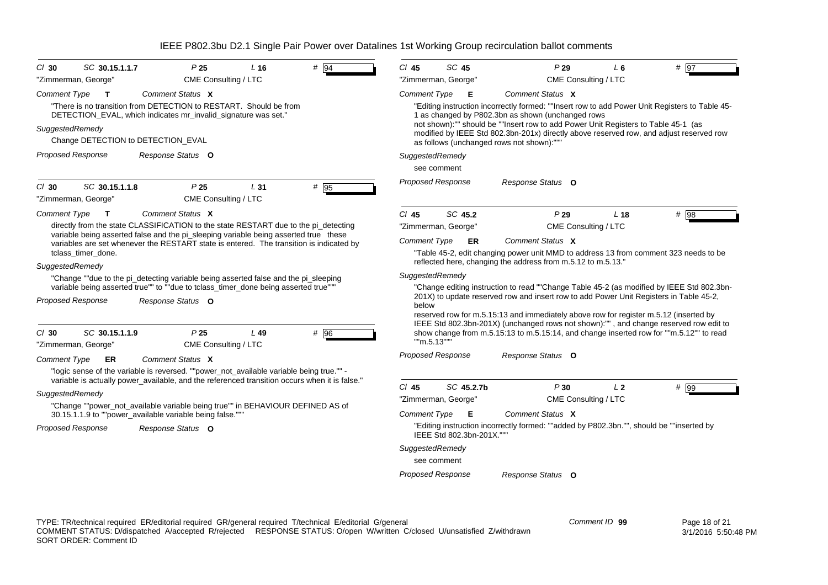| $Cl$ 30                                                                                                    | SC 30.15.1.1.7                                                                                                                                                              | P25                  | $L$ 16 | $#$ 94                                                                                   | $CI$ 45             | SC 45                    | P29                                                                                                                                                                                 | $L_6$           | # 97   |
|------------------------------------------------------------------------------------------------------------|-----------------------------------------------------------------------------------------------------------------------------------------------------------------------------|----------------------|--------|------------------------------------------------------------------------------------------|---------------------|--------------------------|-------------------------------------------------------------------------------------------------------------------------------------------------------------------------------------|-----------------|--------|
|                                                                                                            | "Zimmerman, George"                                                                                                                                                         | CME Consulting / LTC |        |                                                                                          |                     | "Zimmerman, George"      | CME Consulting / LTC                                                                                                                                                                |                 |        |
| Comment Type                                                                                               | $\mathbf{T}$                                                                                                                                                                | Comment Status X     |        |                                                                                          | <b>Comment Type</b> | Е                        | Comment Status X                                                                                                                                                                    |                 |        |
|                                                                                                            | "There is no transition from DETECTION to RESTART. Should be from<br>DETECTION_EVAL, which indicates mr_invalid_signature was set."                                         |                      |        |                                                                                          |                     |                          | "Editing instruction incorrectly formed: ""Insert row to add Power Unit Registers to Table 45-<br>1 as changed by P802.3bn as shown (unchanged rows                                 |                 |        |
| SuggestedRemedy                                                                                            |                                                                                                                                                                             |                      |        |                                                                                          |                     |                          | not shown):"" should be ""Insert row to add Power Unit Registers to Table 45-1 (as                                                                                                  |                 |        |
|                                                                                                            | Change DETECTION to DETECTION_EVAL                                                                                                                                          |                      |        |                                                                                          |                     |                          | modified by IEEE Std 802.3bn-201x) directly above reserved row, and adjust reserved row<br>as follows (unchanged rows not shown):"""                                                |                 |        |
|                                                                                                            | <b>Proposed Response</b>                                                                                                                                                    | Response Status O    |        |                                                                                          | SuggestedRemedy     |                          |                                                                                                                                                                                     |                 |        |
|                                                                                                            |                                                                                                                                                                             |                      |        |                                                                                          |                     | see comment              |                                                                                                                                                                                     |                 |        |
|                                                                                                            |                                                                                                                                                                             |                      |        |                                                                                          |                     | <b>Proposed Response</b> | Response Status O                                                                                                                                                                   |                 |        |
| $CI$ 30                                                                                                    | SC 30.15.1.1.8                                                                                                                                                              | P <sub>25</sub>      | L31    | # $\overline{95}$                                                                        |                     |                          |                                                                                                                                                                                     |                 |        |
|                                                                                                            | "Zimmerman, George"                                                                                                                                                         | CME Consulting / LTC |        |                                                                                          |                     |                          |                                                                                                                                                                                     |                 |        |
| Comment Type                                                                                               | Т                                                                                                                                                                           | Comment Status X     |        |                                                                                          | $CI$ 45             | SC 45.2                  | P29                                                                                                                                                                                 | L <sub>18</sub> | # 98   |
|                                                                                                            | directly from the state CLASSIFICATION to the state RESTART due to the pi detecting<br>variable being asserted false and the pi_sleeping variable being asserted true these |                      |        |                                                                                          |                     | "Zimmerman, George"      | CME Consulting / LTC                                                                                                                                                                |                 |        |
|                                                                                                            | variables are set whenever the RESTART state is entered. The transition is indicated by                                                                                     |                      |        |                                                                                          | <b>Comment Type</b> | <b>ER</b>                | Comment Status X                                                                                                                                                                    |                 |        |
|                                                                                                            | tclass timer done.                                                                                                                                                          |                      |        |                                                                                          |                     |                          | "Table 45-2, edit changing power unit MMD to address 13 from comment 323 needs to be                                                                                                |                 |        |
| SuggestedRemedy                                                                                            |                                                                                                                                                                             |                      |        |                                                                                          |                     |                          | reflected here, changing the address from m.5.12 to m.5.13."                                                                                                                        |                 |        |
|                                                                                                            | "Change ""due to the pi_detecting variable being asserted false and the pi_sleeping<br>variable being asserted true"" to ""due to tclass_timer_done being asserted true""   |                      |        |                                                                                          | SuggestedRemedy     |                          |                                                                                                                                                                                     |                 |        |
|                                                                                                            |                                                                                                                                                                             |                      |        |                                                                                          |                     |                          | "Change editing instruction to read ""Change Table 45-2 (as modified by IEEE Std 802.3bn-<br>201X) to update reserved row and insert row to add Power Unit Registers in Table 45-2, |                 |        |
|                                                                                                            | <b>Proposed Response</b>                                                                                                                                                    | Response Status O    |        |                                                                                          | below               |                          |                                                                                                                                                                                     |                 |        |
|                                                                                                            |                                                                                                                                                                             |                      |        |                                                                                          |                     |                          | reserved row for m.5.15:13 and immediately above row for register m.5.12 (inserted by<br>IEEE Std 802.3bn-201X) (unchanged rows not shown):"", and change reserved row edit to      |                 |        |
| $Cl$ 30                                                                                                    | SC 30.15.1.1.9                                                                                                                                                              | P <sub>25</sub>      | $L$ 49 | # 96                                                                                     |                     |                          | show change from m.5.15:13 to m.5.15:14, and change inserted row for ""m.5.12"" to read                                                                                             |                 |        |
|                                                                                                            | "Zimmerman, George"                                                                                                                                                         | CME Consulting / LTC |        |                                                                                          | ""m.5.13"""         |                          |                                                                                                                                                                                     |                 |        |
| <b>Comment Type</b>                                                                                        | ER                                                                                                                                                                          | Comment Status X     |        |                                                                                          |                     | <b>Proposed Response</b> | Response Status O                                                                                                                                                                   |                 |        |
|                                                                                                            | "logic sense of the variable is reversed. ""power_not_available variable being true."" -                                                                                    |                      |        |                                                                                          |                     |                          |                                                                                                                                                                                     |                 |        |
|                                                                                                            | variable is actually power_available, and the referenced transition occurs when it is false."                                                                               |                      |        |                                                                                          | $Cl$ 45             | SC 45.2.7b               | P30                                                                                                                                                                                 | L <sub>2</sub>  | $#$ 99 |
| SuggestedRemedy                                                                                            |                                                                                                                                                                             |                      |        |                                                                                          |                     | "Zimmerman, George"      | CME Consulting / LTC                                                                                                                                                                |                 |        |
|                                                                                                            | "Change ""power not available variable being true"" in BEHAVIOUR DEFINED AS of                                                                                              |                      |        |                                                                                          | <b>Comment Type</b> | Е                        | Comment Status X                                                                                                                                                                    |                 |        |
| 30.15.1.1.9 to ""power_available variable being false."""<br><b>Proposed Response</b><br>Response Status O |                                                                                                                                                                             |                      |        | "Editing instruction incorrectly formed: ""added by P802.3bn."", should be ""inserted by |                     |                          |                                                                                                                                                                                     |                 |        |
|                                                                                                            |                                                                                                                                                                             |                      |        |                                                                                          |                     | IEEE Std 802.3bn-201X."" |                                                                                                                                                                                     |                 |        |
|                                                                                                            |                                                                                                                                                                             |                      |        |                                                                                          | SuggestedRemedy     |                          |                                                                                                                                                                                     |                 |        |
|                                                                                                            |                                                                                                                                                                             |                      |        |                                                                                          |                     | see comment              |                                                                                                                                                                                     |                 |        |
|                                                                                                            |                                                                                                                                                                             |                      |        |                                                                                          |                     | <b>Proposed Response</b> | Response Status O                                                                                                                                                                   |                 |        |
|                                                                                                            |                                                                                                                                                                             |                      |        |                                                                                          |                     |                          |                                                                                                                                                                                     |                 |        |
|                                                                                                            |                                                                                                                                                                             |                      |        |                                                                                          |                     |                          |                                                                                                                                                                                     |                 |        |
|                                                                                                            |                                                                                                                                                                             |                      |        |                                                                                          |                     |                          |                                                                                                                                                                                     |                 |        |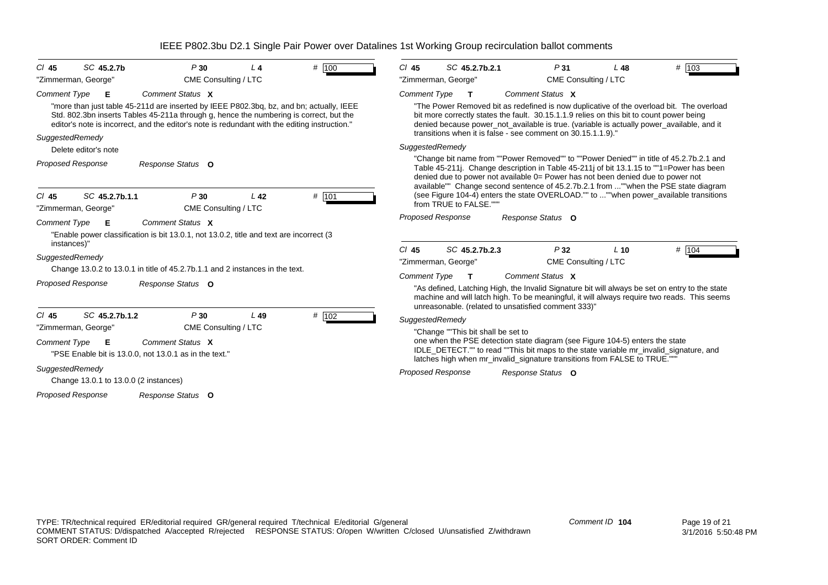| SC 45.2.7b<br>P30<br>$CI$ 45<br>L 4                                                                                                                                                                                                                                                                   | SC 45.2.7b.2.1<br>$CI$ 45<br>P31<br>$L$ 48                                                                                                                                                                                                                                                                                                                 |
|-------------------------------------------------------------------------------------------------------------------------------------------------------------------------------------------------------------------------------------------------------------------------------------------------------|------------------------------------------------------------------------------------------------------------------------------------------------------------------------------------------------------------------------------------------------------------------------------------------------------------------------------------------------------------|
| # 100<br>"Zimmerman, George"<br>CME Consulting / LTC                                                                                                                                                                                                                                                  | # 103<br>"Zimmerman, George"<br>CME Consulting / LTC                                                                                                                                                                                                                                                                                                       |
| Comment Status X<br><b>Comment Type</b><br>Е                                                                                                                                                                                                                                                          | Comment Status X<br><b>Comment Type</b><br>$\mathbf{T}$                                                                                                                                                                                                                                                                                                    |
| "more than just table 45-211d are inserted by IEEE P802.3bg, bz, and bn; actually, IEEE<br>Std. 802.3bn inserts Tables 45-211a through g, hence the numbering is correct, but the<br>editor's note is incorrect, and the editor's note is redundant with the editing instruction."<br>SuggestedRemedy | "The Power Removed bit as redefined is now duplicative of the overload bit. The overload<br>bit more correctly states the fault. 30.15.1.1.9 relies on this bit to count power being<br>denied because power_not_available is true. (variable is actually power_available, and it<br>transitions when it is false - see comment on 30.15.1.1.9)."          |
| Delete editor's note                                                                                                                                                                                                                                                                                  | SuggestedRemedy                                                                                                                                                                                                                                                                                                                                            |
| <b>Proposed Response</b><br>Response Status O                                                                                                                                                                                                                                                         | "Change bit name from ""Power Removed"" to ""Power Denied"" in title of 45.2.7b.2.1 and<br>Table 45-211. Change description in Table 45-211 of bit 13.1.15 to ""1=Power has been<br>denied due to power not available 0= Power has not been denied due to power not<br>available"" Change second sentence of 45.2.7b.2.1 from ""when the PSE state diagram |
| # 101<br>SC 45.2.7b.1.1<br>P30<br>$CI$ 45<br>L <sub>42</sub><br>"Zimmerman, George"<br>CME Consulting / LTC                                                                                                                                                                                           | (see Figure 104-4) enters the state OVERLOAD."" to ""when power_available transitions<br>from TRUE to FALSE.""                                                                                                                                                                                                                                             |
| Comment Status X<br><b>Comment Type</b><br>Е<br>"Enable power classification is bit 13.0.1, not 13.0.2, title and text are incorrect (3)<br>instances)"                                                                                                                                               | <b>Proposed Response</b><br>Response Status O                                                                                                                                                                                                                                                                                                              |
| SuggestedRemedy<br>Change 13.0.2 to 13.0.1 in title of 45.2.7b.1.1 and 2 instances in the text.                                                                                                                                                                                                       | # $ 104$<br>$Cl$ 45<br>SC 45.2.7b.2.3<br>P32<br>$L$ 10<br>"Zimmerman, George"<br>CME Consulting / LTC                                                                                                                                                                                                                                                      |
| <b>Proposed Response</b><br>Response Status O                                                                                                                                                                                                                                                         | Comment Status X<br><b>Comment Type</b><br>$\mathbf T$<br>"As defined, Latching High, the Invalid Signature bit will always be set on entry to the state<br>machine and will latch high. To be meaningful, it will always require two reads. This seems<br>unreasonable. (related to unsatisfied comment 333)"                                             |
| SC 45.2.7b.1.2<br>P30<br>L49<br># $102$<br>$CI$ 45<br>CME Consulting / LTC<br>"Zimmerman, George"                                                                                                                                                                                                     | SuggestedRemedy<br>"Change ""This bit shall be set to                                                                                                                                                                                                                                                                                                      |
| Comment Status X<br><b>Comment Type</b><br>Е<br>"PSE Enable bit is 13.0.0, not 13.0.1 as in the text."                                                                                                                                                                                                | one when the PSE detection state diagram (see Figure 104-5) enters the state<br>IDLE_DETECT."" to read ""This bit maps to the state variable mr_invalid_signature, and<br>latches high when mr_invalid_signature transitions from FALSE to TRUE.""                                                                                                         |
| SuggestedRemedy<br>Change 13.0.1 to 13.0.0 (2 instances)                                                                                                                                                                                                                                              | <b>Proposed Response</b><br>Response Status O                                                                                                                                                                                                                                                                                                              |
| Proposed Response<br>Response Status O                                                                                                                                                                                                                                                                |                                                                                                                                                                                                                                                                                                                                                            |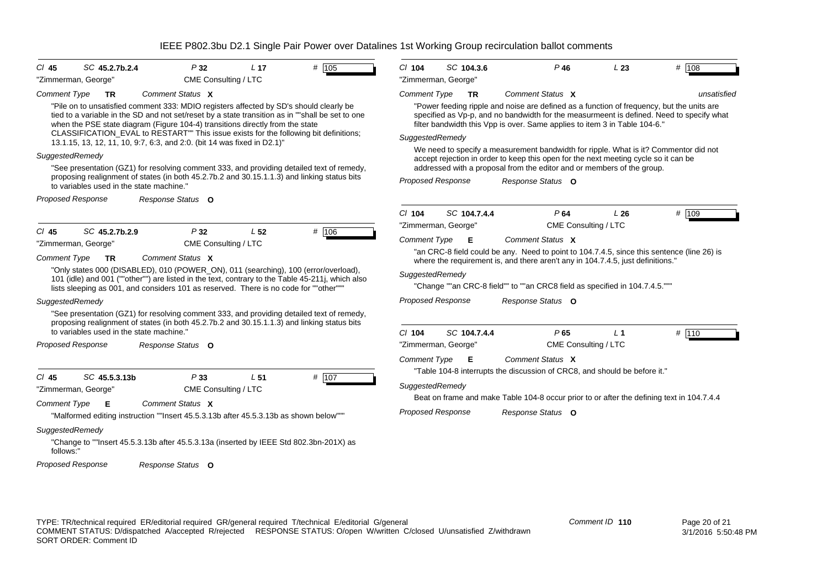| SC 45.2.7b.2.4<br># 105<br>P32<br>L <sub>17</sub><br>$CI$ 45<br>"Zimmerman, George"<br>CME Consulting / LTC                                                                                                                                                                                                                                                                                                                                       | # 108<br>$CI$ 104<br>SC 104.3.6<br>$P$ 46<br>L23<br>"Zimmerman, George"                                                                                                                                                                                                                                                          |
|---------------------------------------------------------------------------------------------------------------------------------------------------------------------------------------------------------------------------------------------------------------------------------------------------------------------------------------------------------------------------------------------------------------------------------------------------|----------------------------------------------------------------------------------------------------------------------------------------------------------------------------------------------------------------------------------------------------------------------------------------------------------------------------------|
| Comment Status X<br><b>Comment Type</b><br><b>TR</b>                                                                                                                                                                                                                                                                                                                                                                                              | <b>Comment Type</b><br>Comment Status X<br><b>TR</b><br>unsatisfied                                                                                                                                                                                                                                                              |
| "Pile on to unsatisfied comment 333: MDIO registers affected by SD's should clearly be<br>tied to a variable in the SD and not set/reset by a state transition as in ""shall be set to one<br>when the PSE state diagram (Figure 104-4) transitions directly from the state<br>CLASSIFICATION EVAL to RESTART"" This issue exists for the following bit definitions;                                                                              | "Power feeding ripple and noise are defined as a function of frequency, but the units are<br>specified as Vp-p, and no bandwidth for the measurmeent is defined. Need to specify what<br>filter bandwidth this Vpp is over. Same applies to item 3 in Table 104-6."<br>SuggestedRemedy                                           |
| 13.1.15, 13, 12, 11, 10, 9:7, 6:3, and 2:0. (bit 14 was fixed in D2.1)"                                                                                                                                                                                                                                                                                                                                                                           | We need to specify a measurement bandwidth for ripple. What is it? Commentor did not                                                                                                                                                                                                                                             |
| SuggestedRemedy                                                                                                                                                                                                                                                                                                                                                                                                                                   | accept rejection in order to keep this open for the next meeting cycle so it can be                                                                                                                                                                                                                                              |
| "See presentation (GZ1) for resolving comment 333, and providing detailed text of remedy,<br>proposing realignment of states (in both 45.2.7b.2 and 30.15.1.1.3) and linking status bits<br>to variables used in the state machine."                                                                                                                                                                                                              | addressed with a proposal from the editor and or members of the group.<br><b>Proposed Response</b><br>Response Status O                                                                                                                                                                                                          |
| <b>Proposed Response</b><br>Response Status O                                                                                                                                                                                                                                                                                                                                                                                                     |                                                                                                                                                                                                                                                                                                                                  |
|                                                                                                                                                                                                                                                                                                                                                                                                                                                   | SC 104.7.4.4<br>$Cl$ 104<br>P64<br>L26<br># $109$                                                                                                                                                                                                                                                                                |
| # 106<br>$CI$ 45<br>SC 45.2.7b.2.9<br>P32<br>L <sub>52</sub>                                                                                                                                                                                                                                                                                                                                                                                      | CME Consulting / LTC<br>"Zimmerman, George"                                                                                                                                                                                                                                                                                      |
| CME Consulting / LTC<br>"Zimmerman, George"                                                                                                                                                                                                                                                                                                                                                                                                       | Comment Status X<br><b>Comment Type</b><br>Е                                                                                                                                                                                                                                                                                     |
| Comment Status X<br><b>Comment Type</b><br>TR<br>"Only states 000 (DISABLED), 010 (POWER_ON), 011 (searching), 100 (error/overload),<br>101 (idle) and 001 (""other"") are listed in the text, contrary to the Table 45-211j, which also<br>lists sleeping as 001, and considers 101 as reserved. There is no code for ""other"""<br>SuggestedRemedy<br>"See presentation (GZ1) for resolving comment 333, and providing detailed text of remedy, | "an CRC-8 field could be any. Need to point to 104.7.4.5, since this sentence (line 26) is<br>where the requirement is, and there aren't any in 104.7.4.5, just definitions."<br>SuggestedRemedy<br>"Change ""an CRC-8 field"" to ""an CRC8 field as specified in 104.7.4.5."""<br><b>Proposed Response</b><br>Response Status O |
| proposing realignment of states (in both 45.2.7b.2 and 30.15.1.1.3) and linking status bits<br>to variables used in the state machine."                                                                                                                                                                                                                                                                                                           |                                                                                                                                                                                                                                                                                                                                  |
| Proposed Response<br>Response Status O                                                                                                                                                                                                                                                                                                                                                                                                            | $Cl$ 104<br>SC 104.7.4.4<br>P65<br># 110<br>L <sub>1</sub><br>CME Consulting / LTC<br>"Zimmerman, George"                                                                                                                                                                                                                        |
|                                                                                                                                                                                                                                                                                                                                                                                                                                                   | <b>Comment Type</b><br>Comment Status X<br>Е                                                                                                                                                                                                                                                                                     |
| # 107<br>SC 45.5.3.13b<br>P33<br>L <sub>51</sub><br>$CI$ 45<br>CME Consulting / LTC<br>"Zimmerman, George"                                                                                                                                                                                                                                                                                                                                        | "Table 104-8 interrupts the discussion of CRC8, and should be before it."<br>SuggestedRemedy<br>Beat on frame and make Table 104-8 occur prior to or after the defining text in 104.7.4.4                                                                                                                                        |
| Comment Status X<br><b>Comment Type</b><br>Е<br>"Malformed editing instruction ""Insert 45.5.3.13b after 45.5.3.13b as shown below""                                                                                                                                                                                                                                                                                                              | <b>Proposed Response</b><br>Response Status O                                                                                                                                                                                                                                                                                    |
| SuggestedRemedy<br>"Change to ""Insert 45.5.3.13b after 45.5.3.13a (inserted by IEEE Std 802.3bn-201X) as<br>follows:"                                                                                                                                                                                                                                                                                                                            |                                                                                                                                                                                                                                                                                                                                  |
| Proposed Response<br>Response Status O                                                                                                                                                                                                                                                                                                                                                                                                            |                                                                                                                                                                                                                                                                                                                                  |
|                                                                                                                                                                                                                                                                                                                                                                                                                                                   |                                                                                                                                                                                                                                                                                                                                  |